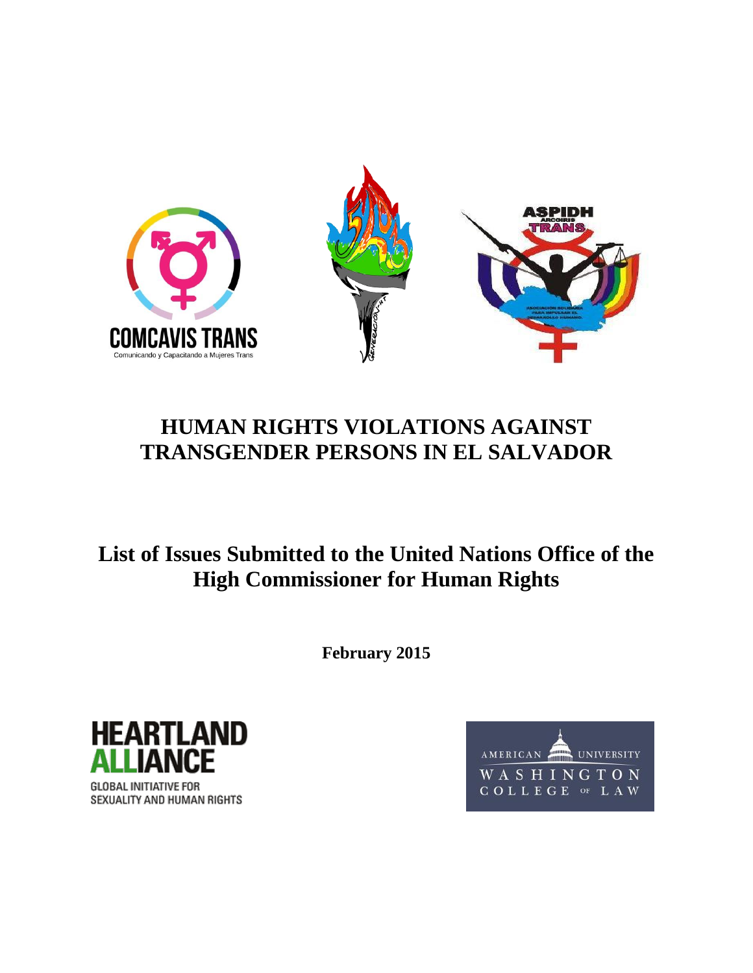

# **HUMAN RIGHTS VIOLATIONS AGAINST TRANSGENDER PERSONS IN EL SALVADOR**

**List of Issues Submitted to the United Nations Office of the High Commissioner for Human Rights**

**February 2015**



SEXUALITY AND HUMAN RIGHTS

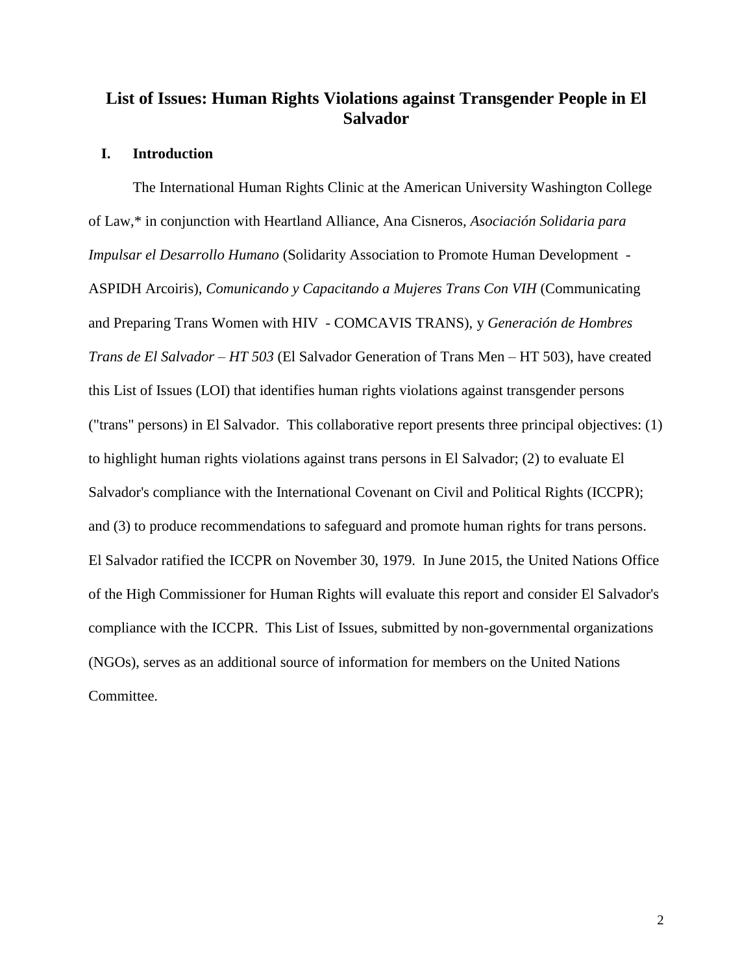# **List of Issues: Human Rights Violations against Transgender People in El Salvador**

#### **I. Introduction**

The International Human Rights Clinic at the American University Washington College of Law,\* in conjunction with Heartland Alliance, Ana Cisneros, *Asociación Solidaria para Impulsar el Desarrollo Humano* (Solidarity Association to Promote Human Development - ASPIDH Arcoiris), *Comunicando y Capacitando a Mujeres Trans Con VIH* (Communicating and Preparing Trans Women with HIV - COMCAVIS TRANS), y *Generación de Hombres Trans de El Salvador – HT 503* (El Salvador Generation of Trans Men – HT 503), have created this List of Issues (LOI) that identifies human rights violations against transgender persons ("trans" persons) in El Salvador. This collaborative report presents three principal objectives: (1) to highlight human rights violations against trans persons in El Salvador; (2) to evaluate El Salvador's compliance with the International Covenant on Civil and Political Rights (ICCPR); and (3) to produce recommendations to safeguard and promote human rights for trans persons. El Salvador ratified the ICCPR on November 30, 1979. In June 2015, the United Nations Office of the High Commissioner for Human Rights will evaluate this report and consider El Salvador's compliance with the ICCPR. This List of Issues, submitted by non-governmental organizations (NGOs), serves as an additional source of information for members on the United Nations Committee.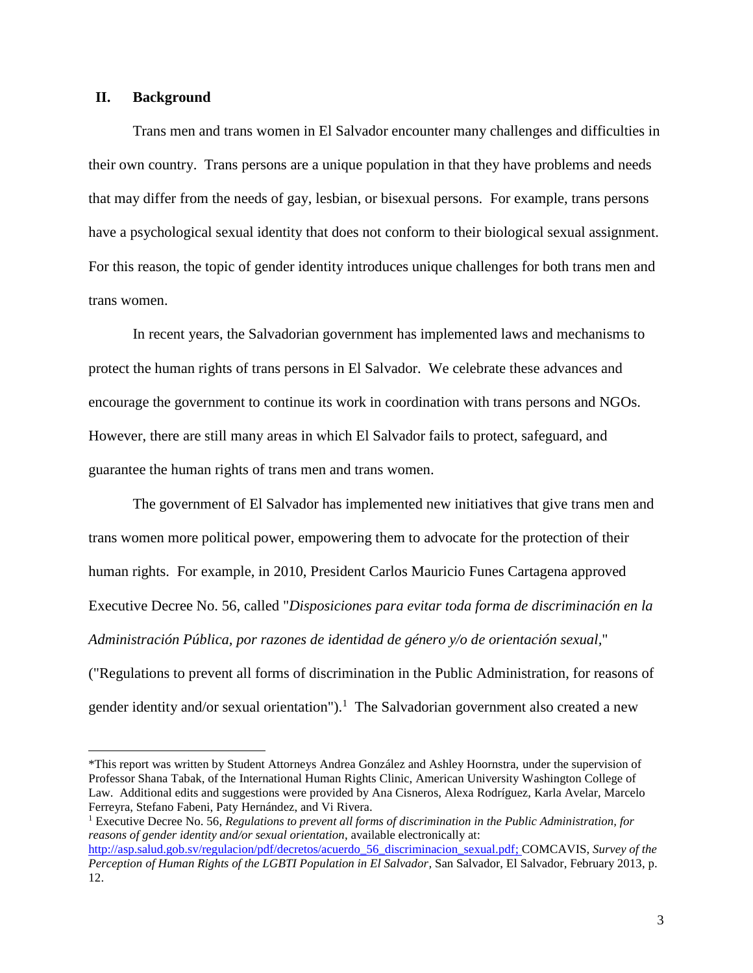## **II. Background**

 $\overline{\phantom{a}}$ 

Trans men and trans women in El Salvador encounter many challenges and difficulties in their own country. Trans persons are a unique population in that they have problems and needs that may differ from the needs of gay, lesbian, or bisexual persons. For example, trans persons have a psychological sexual identity that does not conform to their biological sexual assignment. For this reason, the topic of gender identity introduces unique challenges for both trans men and trans women.

In recent years, the Salvadorian government has implemented laws and mechanisms to protect the human rights of trans persons in El Salvador. We celebrate these advances and encourage the government to continue its work in coordination with trans persons and NGOs. However, there are still many areas in which El Salvador fails to protect, safeguard, and guarantee the human rights of trans men and trans women.

The government of El Salvador has implemented new initiatives that give trans men and trans women more political power, empowering them to advocate for the protection of their human rights. For example, in 2010, President Carlos Mauricio Funes Cartagena approved Executive Decree No. 56, called "*Disposiciones para evitar toda forma de discriminación en la Administración Pública, por razones de identidad de género y/o de orientación sexual,*" ("Regulations to prevent all forms of discrimination in the Public Administration, for reasons of gender identity and/or sexual orientation").<sup>1</sup> The Salvadorian government also created a new

<sup>\*</sup>This report was written by Student Attorneys Andrea González and Ashley Hoornstra, under the supervision of Professor Shana Tabak, of the International Human Rights Clinic, American University Washington College of Law. Additional edits and suggestions were provided by Ana Cisneros, Alexa Rodríguez, Karla Avelar, Marcelo Ferreyra, Stefano Fabeni, Paty Hernández, and Vi Rivera.

<sup>1</sup> Executive Decree No. 56, *Regulations to prevent all forms of discrimination in the Public Administration, for reasons of gender identity and/or sexual orientation*, available electronically at:

[http://asp.salud.gob.sv/regulacion/pdf/decretos/acuerdo\\_56\\_discriminacion\\_sexual.pdf;](http://asp.salud.gob.sv/regulacion/pdf/decretos/acuerdo_56_discriminacion_sexual.pdf) COMCAVIS, *Survey of the Perception of Human Rights of the LGBTI Population in El Salvador,* San Salvador, El Salvador, February 2013, p. 12.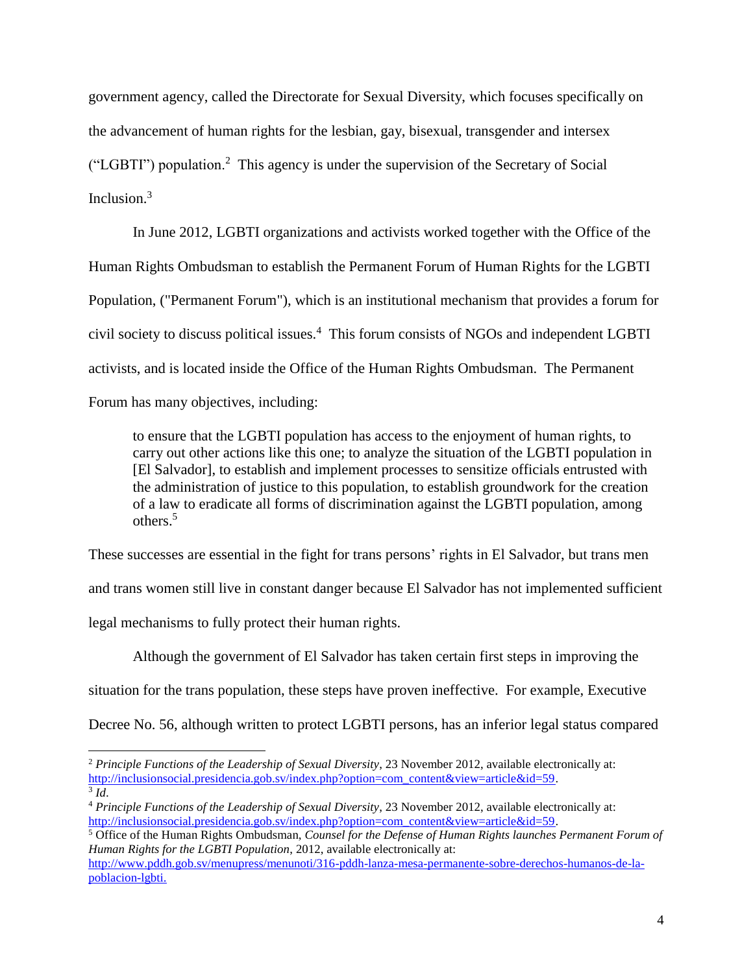government agency, called the Directorate for Sexual Diversity, which focuses specifically on the advancement of human rights for the lesbian, gay, bisexual, transgender and intersex ("LGBTI") population.<sup>2</sup> This agency is under the supervision of the Secretary of Social Inclusion.<sup>3</sup>

In June 2012, LGBTI organizations and activists worked together with the Office of the Human Rights Ombudsman to establish the Permanent Forum of Human Rights for the LGBTI Population, ("Permanent Forum"), which is an institutional mechanism that provides a forum for civil society to discuss political issues.<sup>4</sup> This forum consists of NGOs and independent LGBTI activists, and is located inside the Office of the Human Rights Ombudsman. The Permanent Forum has many objectives, including:

to ensure that the LGBTI population has access to the enjoyment of human rights, to carry out other actions like this one; to analyze the situation of the LGBTI population in [El Salvador], to establish and implement processes to sensitize officials entrusted with the administration of justice to this population, to establish groundwork for the creation of a law to eradicate all forms of discrimination against the LGBTI population, among others.<sup>5</sup>

These successes are essential in the fight for trans persons' rights in El Salvador, but trans men

and trans women still live in constant danger because El Salvador has not implemented sufficient

legal mechanisms to fully protect their human rights.

 $\overline{\phantom{a}}$ 

Although the government of El Salvador has taken certain first steps in improving the

situation for the trans population, these steps have proven ineffective. For example, Executive

Decree No. 56, although written to protect LGBTI persons, has an inferior legal status compared

<sup>&</sup>lt;sup>2</sup> Principle Functions of the Leadership of Sexual Diversity, 23 November 2012, available electronically at: [http://inclusionsocial.presidencia.gob.sv/index.php?option=com\\_content&view=article&id=59.](http://inclusionsocial.presidencia.gob.sv/index.php?option=com_content&view=article&id=59) 3 *Id*.

<sup>4</sup> *Principle Functions of the Leadership of Sexual Diversity*, 23 November 2012, available electronically at: [http://inclusionsocial.presidencia.gob.sv/index.php?option=com\\_content&view=article&id=59.](http://inclusionsocial.presidencia.gob.sv/index.php?option=com_content&view=article&id=59)

<sup>5</sup> Office of the Human Rights Ombudsman, *Counsel for the Defense of Human Rights launches Permanent Forum of Human Rights for the LGBTI Population*, 2012, available electronically at:

[http://www.pddh.gob.sv/menupress/menunoti/316-pddh-lanza-mesa-permanente-sobre-derechos-humanos-de-la](http://www.pddh.gob.sv/menupress/menunoti/316-pddh-lanza-mesa-permanente-sobre-derechos-humanos-de-la-poblacion-lgbti)[poblacion-lgbti.](http://www.pddh.gob.sv/menupress/menunoti/316-pddh-lanza-mesa-permanente-sobre-derechos-humanos-de-la-poblacion-lgbti)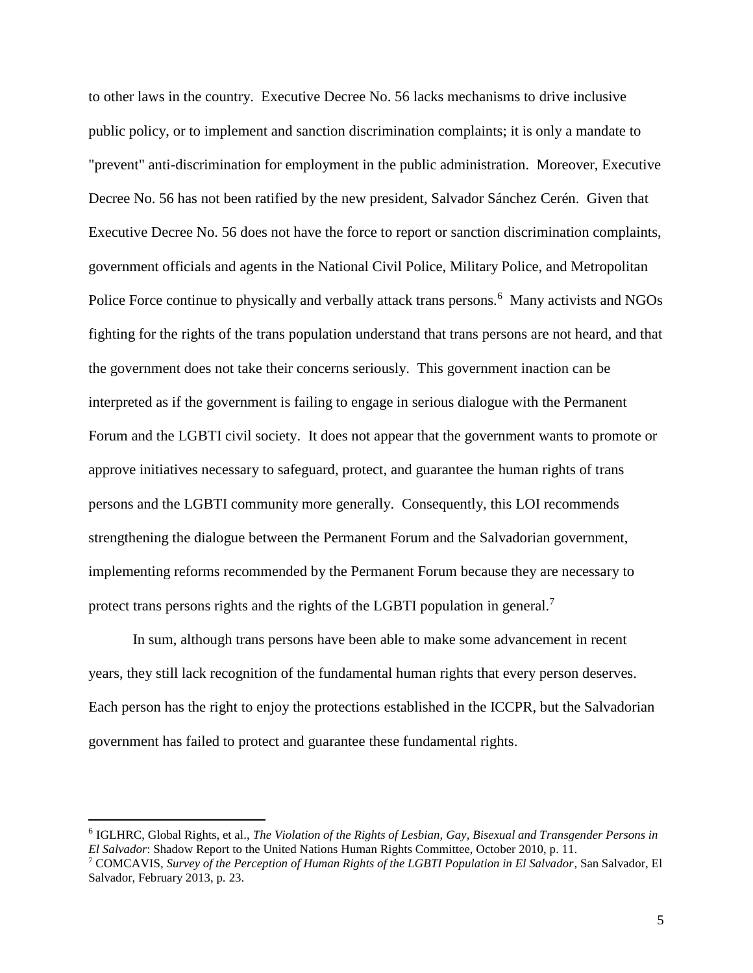to other laws in the country. Executive Decree No. 56 lacks mechanisms to drive inclusive public policy, or to implement and sanction discrimination complaints; it is only a mandate to "prevent" anti-discrimination for employment in the public administration. Moreover, Executive Decree No. 56 has not been ratified by the new president, Salvador Sánchez Cerén. Given that Executive Decree No. 56 does not have the force to report or sanction discrimination complaints, government officials and agents in the National Civil Police, Military Police, and Metropolitan Police Force continue to physically and verbally attack trans persons.<sup>6</sup> Many activists and NGOs fighting for the rights of the trans population understand that trans persons are not heard, and that the government does not take their concerns seriously. This government inaction can be interpreted as if the government is failing to engage in serious dialogue with the Permanent Forum and the LGBTI civil society. It does not appear that the government wants to promote or approve initiatives necessary to safeguard, protect, and guarantee the human rights of trans persons and the LGBTI community more generally. Consequently, this LOI recommends strengthening the dialogue between the Permanent Forum and the Salvadorian government, implementing reforms recommended by the Permanent Forum because they are necessary to protect trans persons rights and the rights of the LGBTI population in general.<sup>7</sup>

In sum, although trans persons have been able to make some advancement in recent years, they still lack recognition of the fundamental human rights that every person deserves. Each person has the right to enjoy the protections established in the ICCPR, but the Salvadorian government has failed to protect and guarantee these fundamental rights.

<sup>6</sup> IGLHRC, Global Rights, et al., *The Violation of the Rights of Lesbian, Gay, Bisexual and Transgender Persons in El Salvador*: Shadow Report to the United Nations Human Rights Committee, October 2010, p. 11.

<sup>7</sup> COMCAVIS, *Survey of the Perception of Human Rights of the LGBTI Population in El Salvador*, San Salvador, El Salvador, February 2013, p. 23.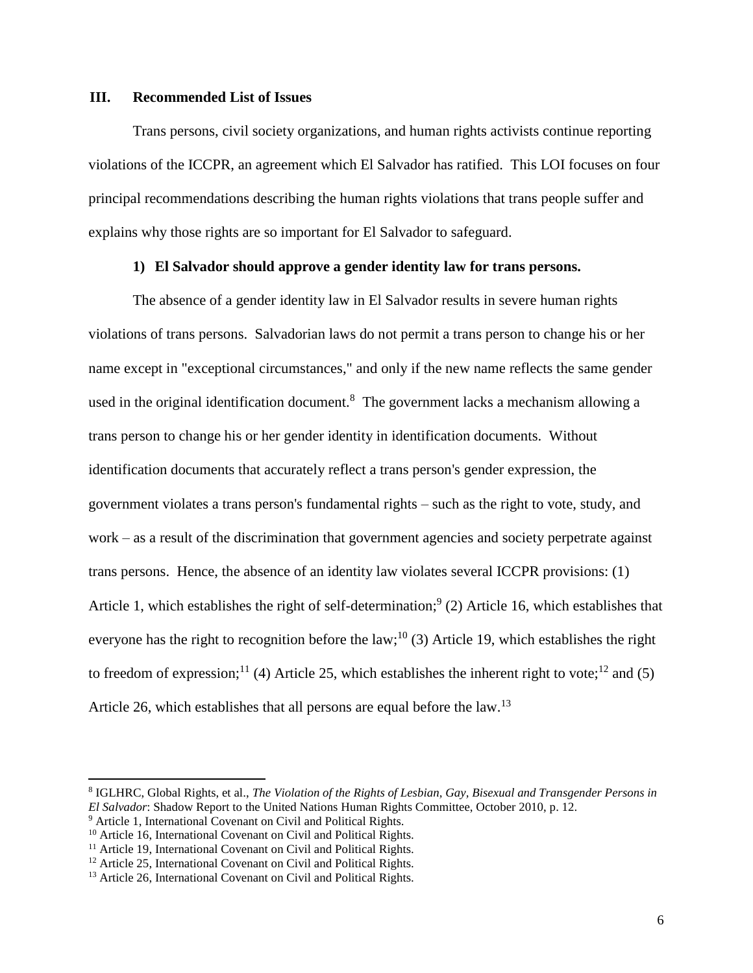#### **III. Recommended List of Issues**

Trans persons, civil society organizations, and human rights activists continue reporting violations of the ICCPR, an agreement which El Salvador has ratified. This LOI focuses on four principal recommendations describing the human rights violations that trans people suffer and explains why those rights are so important for El Salvador to safeguard.

## **1) El Salvador should approve a gender identity law for trans persons.**

The absence of a gender identity law in El Salvador results in severe human rights violations of trans persons. Salvadorian laws do not permit a trans person to change his or her name except in "exceptional circumstances," and only if the new name reflects the same gender used in the original identification document.<sup>8</sup> The government lacks a mechanism allowing a trans person to change his or her gender identity in identification documents. Without identification documents that accurately reflect a trans person's gender expression, the government violates a trans person's fundamental rights – such as the right to vote, study, and work – as a result of the discrimination that government agencies and society perpetrate against trans persons. Hence, the absence of an identity law violates several ICCPR provisions: (1) Article 1, which establishes the right of self-determination;<sup>9</sup> (2) Article 16, which establishes that everyone has the right to recognition before the law;<sup>10</sup> (3) Article 19, which establishes the right to freedom of expression;<sup>11</sup> (4) Article 25, which establishes the inherent right to vote;<sup>12</sup> and (5) Article 26, which establishes that all persons are equal before the law.<sup>13</sup>

<sup>8</sup> IGLHRC, Global Rights, et al., *The Violation of the Rights of Lesbian, Gay, Bisexual and Transgender Persons in El Salvador*: Shadow Report to the United Nations Human Rights Committee, October 2010, p. 12.

<sup>9</sup> Article 1, International Covenant on Civil and Political Rights.

<sup>&</sup>lt;sup>10</sup> Article 16, International Covenant on Civil and Political Rights.

<sup>&</sup>lt;sup>11</sup> Article 19, International Covenant on Civil and Political Rights.

<sup>&</sup>lt;sup>12</sup> Article 25, International Covenant on Civil and Political Rights.

<sup>&</sup>lt;sup>13</sup> Article 26, International Covenant on Civil and Political Rights.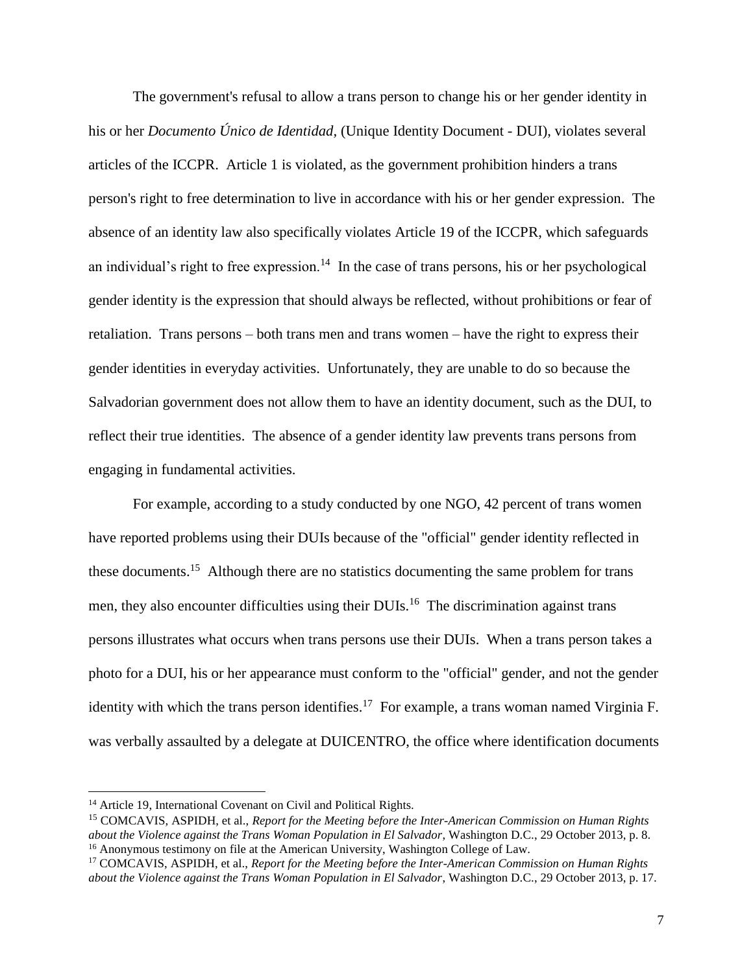The government's refusal to allow a trans person to change his or her gender identity in his or her *Documento Único de Identidad,* (Unique Identity Document - DUI), violates several articles of the ICCPR. Article 1 is violated, as the government prohibition hinders a trans person's right to free determination to live in accordance with his or her gender expression. The absence of an identity law also specifically violates Article 19 of the ICCPR, which safeguards an individual's right to free expression.<sup>14</sup> In the case of trans persons, his or her psychological gender identity is the expression that should always be reflected, without prohibitions or fear of retaliation. Trans persons – both trans men and trans women – have the right to express their gender identities in everyday activities. Unfortunately, they are unable to do so because the Salvadorian government does not allow them to have an identity document, such as the DUI, to reflect their true identities. The absence of a gender identity law prevents trans persons from engaging in fundamental activities.

For example, according to a study conducted by one NGO, 42 percent of trans women have reported problems using their DUIs because of the "official" gender identity reflected in these documents.<sup>15</sup> Although there are no statistics documenting the same problem for trans men, they also encounter difficulties using their DUIs.<sup>16</sup> The discrimination against trans persons illustrates what occurs when trans persons use their DUIs. When a trans person takes a photo for a DUI, his or her appearance must conform to the "official" gender, and not the gender identity with which the trans person identifies.<sup>17</sup> For example, a trans woman named Virginia F. was verbally assaulted by a delegate at DUICENTRO, the office where identification documents

l

<sup>&</sup>lt;sup>14</sup> Article 19, International Covenant on Civil and Political Rights.

<sup>15</sup> COMCAVIS, ASPIDH, et al., *Report for the Meeting before the Inter-American Commission on Human Rights about the Violence against the Trans Woman Population in El Salvador*, Washington D.C., 29 October 2013, p. 8. <sup>16</sup> Anonymous testimony on file at the American University, Washington College of Law.

<sup>17</sup> COMCAVIS, ASPIDH, et al., *Report for the Meeting before the Inter-American Commission on Human Rights about the Violence against the Trans Woman Population in El Salvador*, Washington D.C., 29 October 2013, p. 17.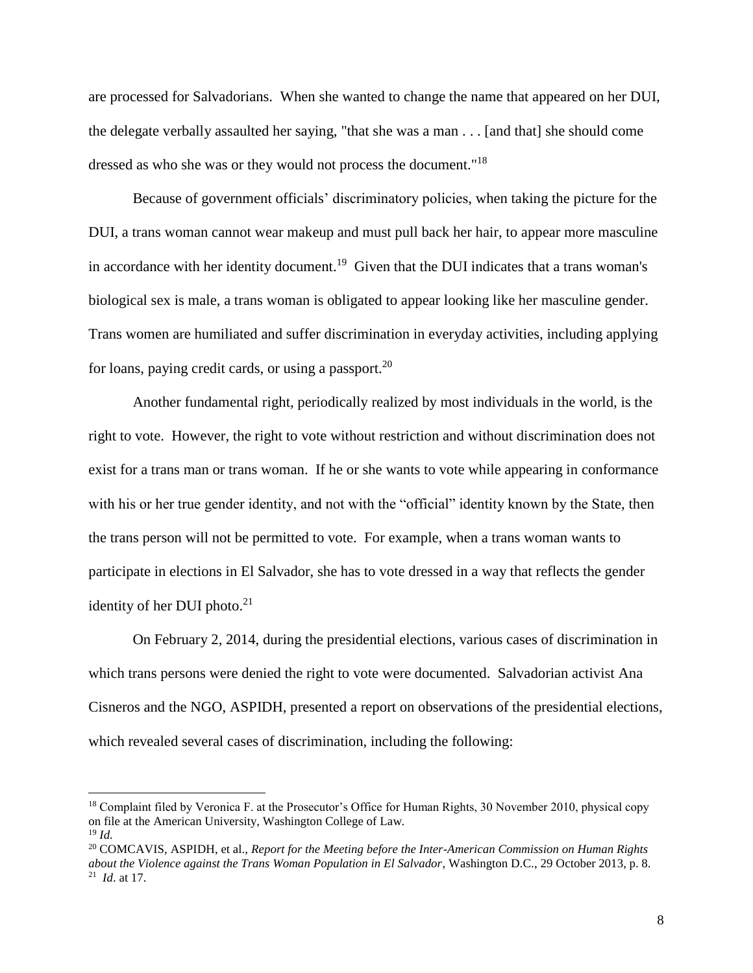are processed for Salvadorians. When she wanted to change the name that appeared on her DUI, the delegate verbally assaulted her saying, "that she was a man . . . [and that] she should come dressed as who she was or they would not process the document."<sup>18</sup>

Because of government officials' discriminatory policies, when taking the picture for the DUI, a trans woman cannot wear makeup and must pull back her hair, to appear more masculine in accordance with her identity document.<sup>19</sup> Given that the DUI indicates that a trans woman's biological sex is male, a trans woman is obligated to appear looking like her masculine gender. Trans women are humiliated and suffer discrimination in everyday activities, including applying for loans, paying credit cards, or using a passport.<sup>20</sup>

Another fundamental right, periodically realized by most individuals in the world, is the right to vote. However, the right to vote without restriction and without discrimination does not exist for a trans man or trans woman. If he or she wants to vote while appearing in conformance with his or her true gender identity, and not with the "official" identity known by the State, then the trans person will not be permitted to vote. For example, when a trans woman wants to participate in elections in El Salvador, she has to vote dressed in a way that reflects the gender identity of her DUI photo. $21$ 

On February 2, 2014, during the presidential elections, various cases of discrimination in which trans persons were denied the right to vote were documented. Salvadorian activist Ana Cisneros and the NGO, ASPIDH, presented a report on observations of the presidential elections, which revealed several cases of discrimination, including the following:

l

<sup>&</sup>lt;sup>18</sup> Complaint filed by Veronica F. at the Prosecutor's Office for Human Rights, 30 November 2010, physical copy on file at the American University, Washington College of Law. <sup>19</sup> *Id.*

<sup>20</sup> COMCAVIS, ASPIDH, et al., *Report for the Meeting before the Inter-American Commission on Human Rights about the Violence against the Trans Woman Population in El Salvador*, Washington D.C., 29 October 2013, p. 8. <sup>21</sup> *Id*. at 17.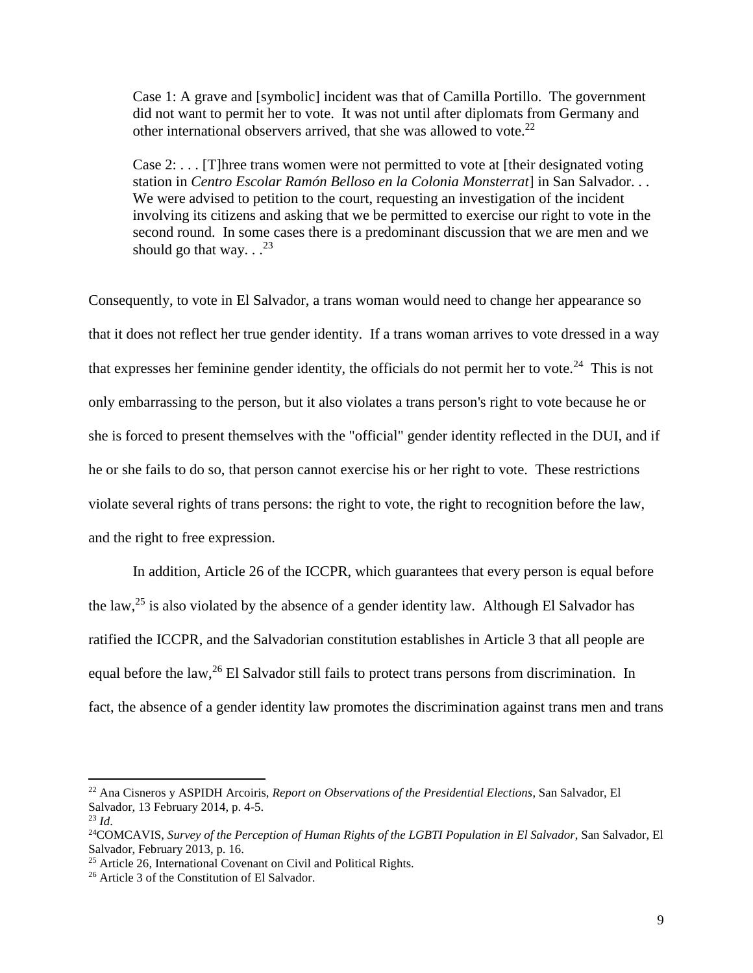Case 1: A grave and [symbolic] incident was that of Camilla Portillo. The government did not want to permit her to vote. It was not until after diplomats from Germany and other international observers arrived, that she was allowed to vote.<sup>22</sup>

Case  $2: \ldots$  [T] hree trans women were not permitted to vote at [their designated voting station in *Centro Escolar Ramón Belloso en la Colonia Monsterrat*] in San Salvador. . . We were advised to petition to the court, requesting an investigation of the incident involving its citizens and asking that we be permitted to exercise our right to vote in the second round. In some cases there is a predominant discussion that we are men and we should go that way.  $.$ <sup>23</sup>

Consequently, to vote in El Salvador, a trans woman would need to change her appearance so that it does not reflect her true gender identity. If a trans woman arrives to vote dressed in a way that expresses her feminine gender identity, the officials do not permit her to vote.<sup>24</sup> This is not only embarrassing to the person, but it also violates a trans person's right to vote because he or she is forced to present themselves with the "official" gender identity reflected in the DUI, and if he or she fails to do so, that person cannot exercise his or her right to vote. These restrictions violate several rights of trans persons: the right to vote, the right to recognition before the law, and the right to free expression.

In addition, Article 26 of the ICCPR, which guarantees that every person is equal before the law,<sup>25</sup> is also violated by the absence of a gender identity law. Although El Salvador has ratified the ICCPR, and the Salvadorian constitution establishes in Article 3 that all people are equal before the law,<sup>26</sup> El Salvador still fails to protect trans persons from discrimination. In fact, the absence of a gender identity law promotes the discrimination against trans men and trans

<sup>22</sup> Ana Cisneros y ASPIDH Arcoiris, *Report on Observations of the Presidential Elections*, San Salvador, El Salvador, 13 February 2014, p. 4-5.

<sup>23</sup> *Id*.

<sup>&</sup>lt;sup>24</sup>COMCAVIS, *Survey of the Perception of Human Rights of the LGBTI Population in El Salvador*, San Salvador, El Salvador, February 2013, p. 16.

<sup>&</sup>lt;sup>25</sup> Article 26, International Covenant on Civil and Political Rights.

<sup>26</sup> Article 3 of the Constitution of El Salvador.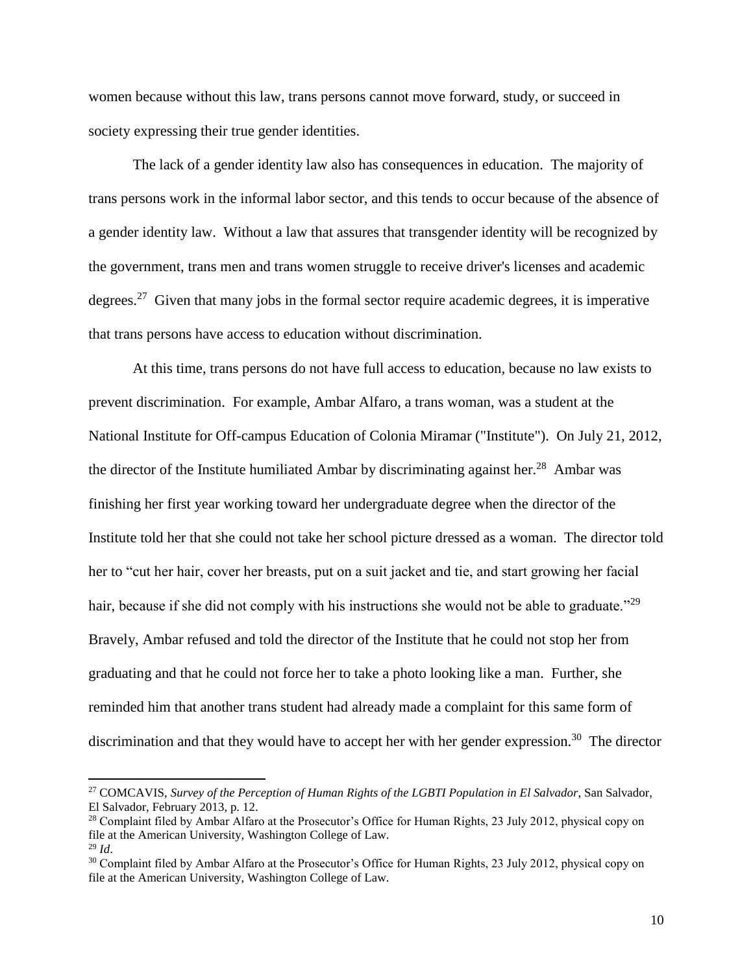women because without this law, trans persons cannot move forward, study, or succeed in society expressing their true gender identities.

The lack of a gender identity law also has consequences in education. The majority of trans persons work in the informal labor sector, and this tends to occur because of the absence of a gender identity law. Without a law that assures that transgender identity will be recognized by the government, trans men and trans women struggle to receive driver's licenses and academic degrees.<sup>27</sup> Given that many jobs in the formal sector require academic degrees, it is imperative that trans persons have access to education without discrimination.

At this time, trans persons do not have full access to education, because no law exists to prevent discrimination. For example, Ambar Alfaro, a trans woman, was a student at the National Institute for Off-campus Education of Colonia Miramar ("Institute"). On July 21, 2012, the director of the Institute humiliated Ambar by discriminating against her.<sup>28</sup> Ambar was finishing her first year working toward her undergraduate degree when the director of the Institute told her that she could not take her school picture dressed as a woman. The director told her to "cut her hair, cover her breasts, put on a suit jacket and tie, and start growing her facial hair, because if she did not comply with his instructions she would not be able to graduate."<sup>29</sup> Bravely, Ambar refused and told the director of the Institute that he could not stop her from graduating and that he could not force her to take a photo looking like a man. Further, she reminded him that another trans student had already made a complaint for this same form of discrimination and that they would have to accept her with her gender expression.<sup>30</sup> The director

<sup>27</sup> COMCAVIS, *Survey of the Perception of Human Rights of the LGBTI Population in El Salvador*, San Salvador, El Salvador, February 2013, p. 12.

<sup>&</sup>lt;sup>28</sup> Complaint filed by Ambar Alfaro at the Prosecutor's Office for Human Rights, 23 July 2012, physical copy on file at the American University, Washington College of Law. <sup>29</sup> *Id*.

<sup>&</sup>lt;sup>30</sup> Complaint filed by Ambar Alfaro at the Prosecutor's Office for Human Rights, 23 July 2012, physical copy on file at the American University, Washington College of Law.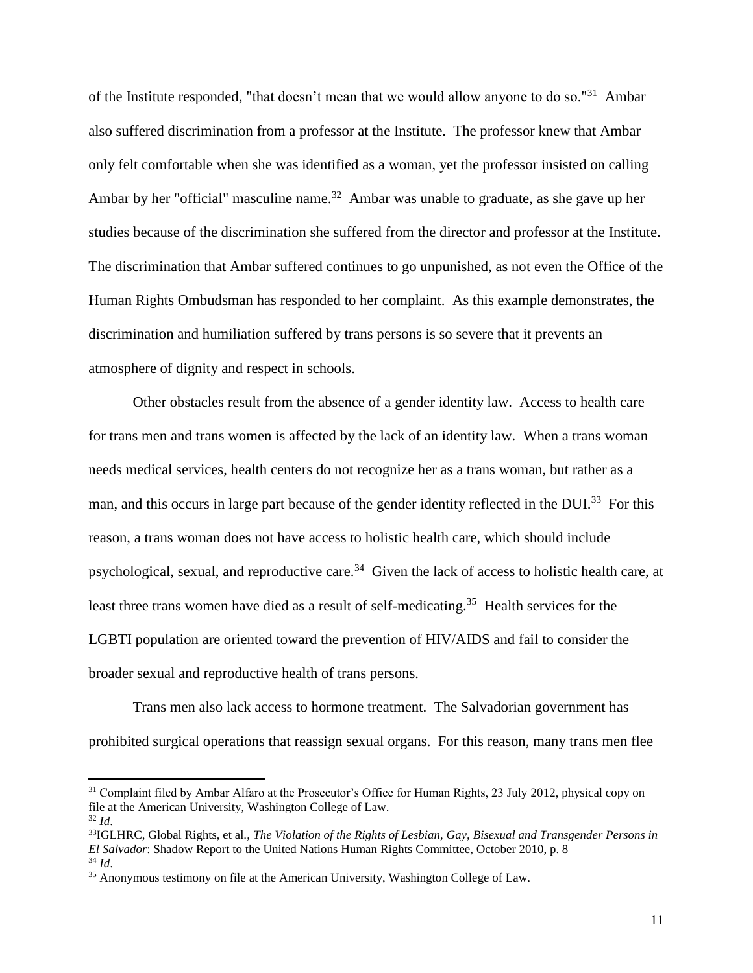of the Institute responded, "that doesn't mean that we would allow anyone to do so."<sup>31</sup> Ambar also suffered discrimination from a professor at the Institute. The professor knew that Ambar only felt comfortable when she was identified as a woman, yet the professor insisted on calling Ambar by her "official" masculine name.<sup>32</sup> Ambar was unable to graduate, as she gave up her studies because of the discrimination she suffered from the director and professor at the Institute. The discrimination that Ambar suffered continues to go unpunished, as not even the Office of the Human Rights Ombudsman has responded to her complaint. As this example demonstrates, the discrimination and humiliation suffered by trans persons is so severe that it prevents an atmosphere of dignity and respect in schools.

Other obstacles result from the absence of a gender identity law. Access to health care for trans men and trans women is affected by the lack of an identity law. When a trans woman needs medical services, health centers do not recognize her as a trans woman, but rather as a man, and this occurs in large part because of the gender identity reflected in the DUI.<sup>33</sup> For this reason, a trans woman does not have access to holistic health care, which should include psychological, sexual, and reproductive care.<sup>34</sup> Given the lack of access to holistic health care, at least three trans women have died as a result of self-medicating.<sup>35</sup> Health services for the LGBTI population are oriented toward the prevention of HIV/AIDS and fail to consider the broader sexual and reproductive health of trans persons.

Trans men also lack access to hormone treatment. The Salvadorian government has prohibited surgical operations that reassign sexual organs. For this reason, many trans men flee

<sup>&</sup>lt;sup>31</sup> Complaint filed by Ambar Alfaro at the Prosecutor's Office for Human Rights, 23 July 2012, physical copy on file at the American University, Washington College of Law.

<sup>32</sup> *Id*.

<sup>33</sup>IGLHRC, Global Rights, et al., *The Violation of the Rights of Lesbian, Gay, Bisexual and Transgender Persons in El Salvador*: Shadow Report to the United Nations Human Rights Committee, October 2010, p. 8 <sup>34</sup> *Id*.

<sup>&</sup>lt;sup>35</sup> Anonymous testimony on file at the American University, Washington College of Law.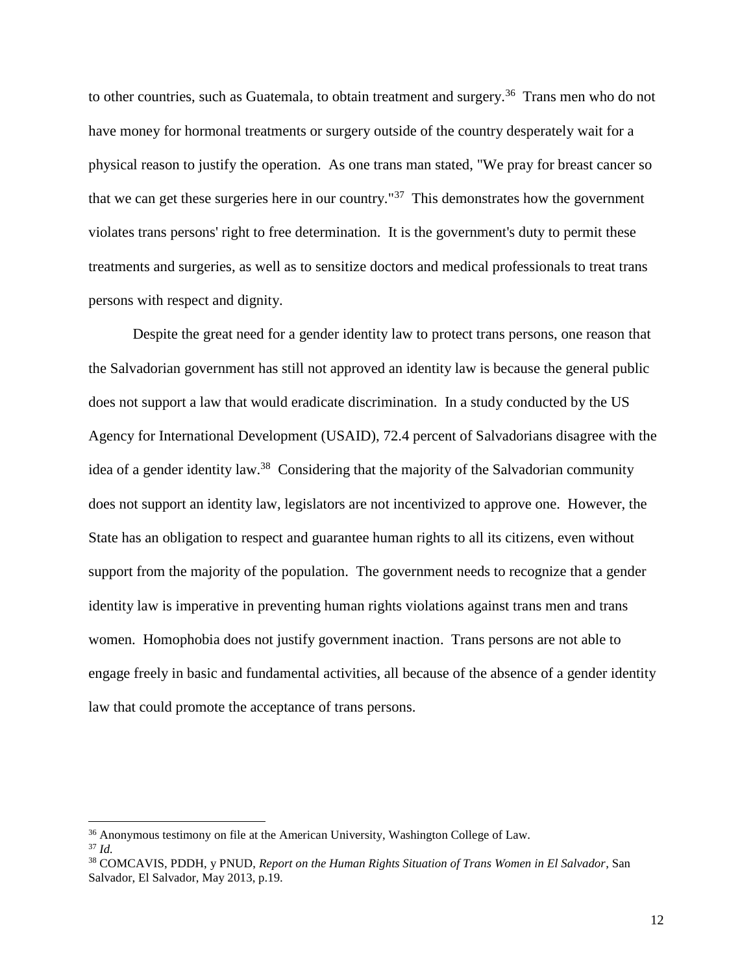to other countries, such as Guatemala, to obtain treatment and surgery.<sup>36</sup> Trans men who do not have money for hormonal treatments or surgery outside of the country desperately wait for a physical reason to justify the operation. As one trans man stated, "We pray for breast cancer so that we can get these surgeries here in our country.<sup>"37</sup> This demonstrates how the government violates trans persons' right to free determination. It is the government's duty to permit these treatments and surgeries, as well as to sensitize doctors and medical professionals to treat trans persons with respect and dignity.

Despite the great need for a gender identity law to protect trans persons, one reason that the Salvadorian government has still not approved an identity law is because the general public does not support a law that would eradicate discrimination. In a study conducted by the US Agency for International Development (USAID), 72.4 percent of Salvadorians disagree with the idea of a gender identity law.<sup>38</sup> Considering that the majority of the Salvadorian community does not support an identity law, legislators are not incentivized to approve one. However, the State has an obligation to respect and guarantee human rights to all its citizens, even without support from the majority of the population. The government needs to recognize that a gender identity law is imperative in preventing human rights violations against trans men and trans women. Homophobia does not justify government inaction. Trans persons are not able to engage freely in basic and fundamental activities, all because of the absence of a gender identity law that could promote the acceptance of trans persons.

<sup>36</sup> Anonymous testimony on file at the American University, Washington College of Law. <sup>37</sup> *Id.*

<sup>38</sup> COMCAVIS, PDDH, y PNUD, *Report on the Human Rights Situation of Trans Women in El Salvador*, San Salvador, El Salvador, May 2013, p.19.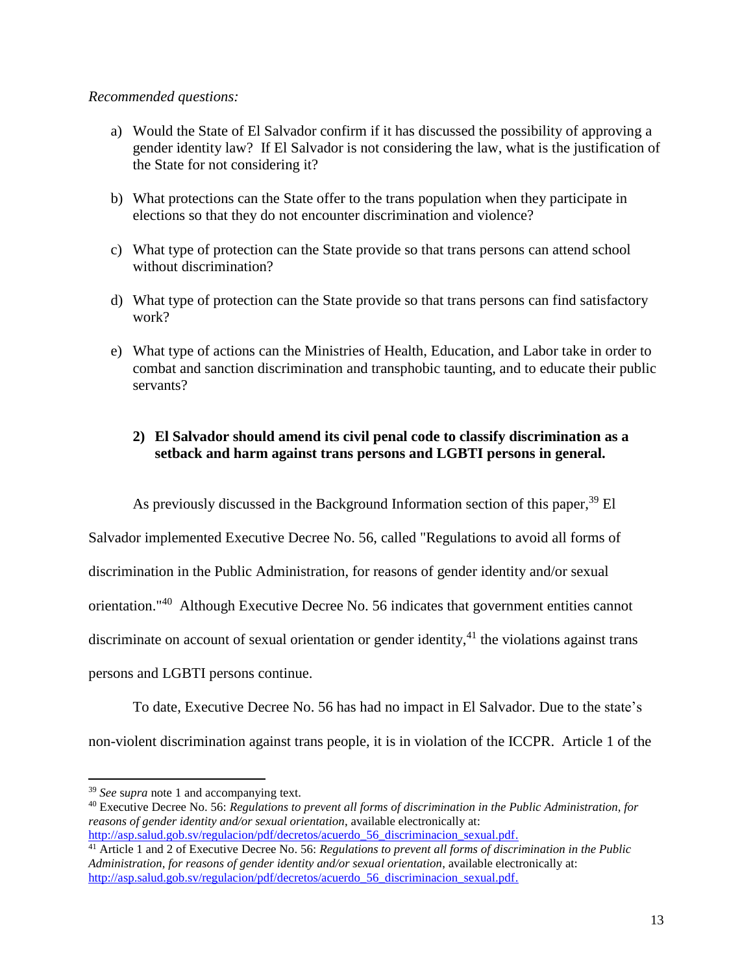## *Recommended questions:*

- a) Would the State of El Salvador confirm if it has discussed the possibility of approving a gender identity law? If El Salvador is not considering the law, what is the justification of the State for not considering it?
- b) What protections can the State offer to the trans population when they participate in elections so that they do not encounter discrimination and violence?
- c) What type of protection can the State provide so that trans persons can attend school without discrimination?
- d) What type of protection can the State provide so that trans persons can find satisfactory work?
- e) What type of actions can the Ministries of Health, Education, and Labor take in order to combat and sanction discrimination and transphobic taunting, and to educate their public servants?

# **2) El Salvador should amend its civil penal code to classify discrimination as a setback and harm against trans persons and LGBTI persons in general.**

As previously discussed in the Background Information section of this paper,<sup>39</sup> El

Salvador implemented Executive Decree No. 56, called "Regulations to avoid all forms of discrimination in the Public Administration, for reasons of gender identity and/or sexual orientation."<sup>40</sup> Although Executive Decree No. 56 indicates that government entities cannot discriminate on account of sexual orientation or gender identity,  $41$  the violations against trans persons and LGBTI persons continue.

To date, Executive Decree No. 56 has had no impact in El Salvador. Due to the state's non-violent discrimination against trans people, it is in violation of the ICCPR. Article 1 of the

<sup>39</sup> *See* s*upra* note 1 and accompanying text.

<sup>40</sup> Executive Decree No. 56: *Regulations to prevent all forms of discrimination in the Public Administration, for reasons of gender identity and/or sexual orientation*, available electronically at: [http://asp.salud.gob.sv/regulacion/pdf/decretos/acuerdo\\_56\\_discriminacion\\_sexual.pdf.](http://asp.salud.gob.sv/regulacion/pdf/decretos/acuerdo_56_discriminacion_sexual.pdf)

<sup>41</sup> Article 1 and 2 of Executive Decree No. 56: *Regulations to prevent all forms of discrimination in the Public Administration, for reasons of gender identity and/or sexual orientation*, available electronically at: http://asp.salud.gob.sv/regulacion/pdf/decretos/acuerdo 56 discriminacion sexual.pdf.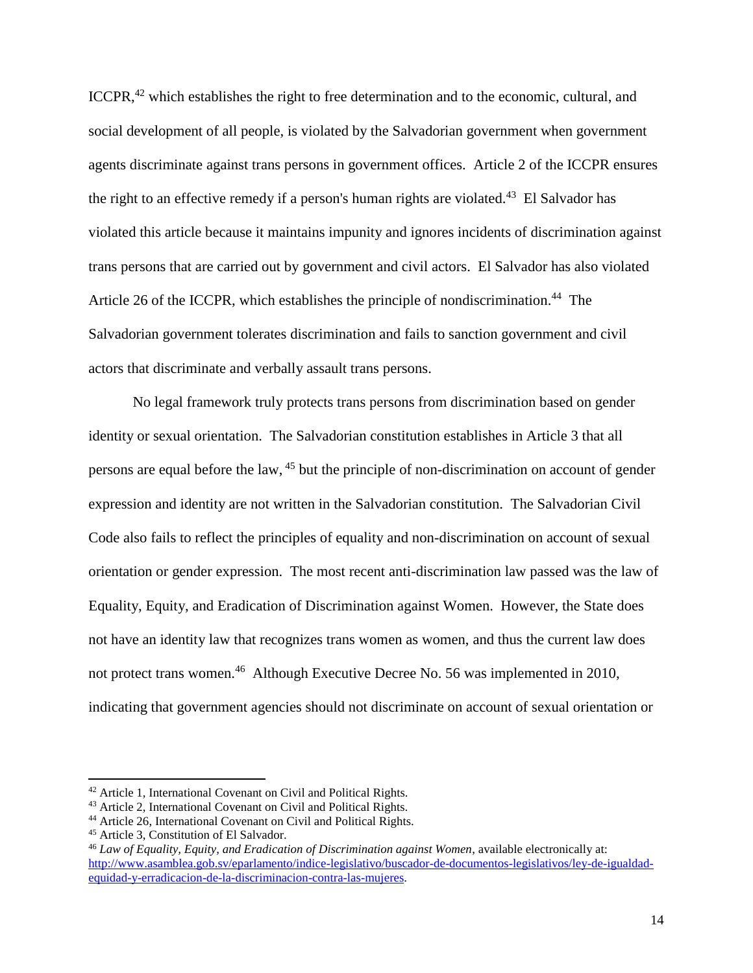ICCPR,<sup>42</sup> which establishes the right to free determination and to the economic, cultural, and social development of all people, is violated by the Salvadorian government when government agents discriminate against trans persons in government offices. Article 2 of the ICCPR ensures the right to an effective remedy if a person's human rights are violated.<sup>43</sup> El Salvador has violated this article because it maintains impunity and ignores incidents of discrimination against trans persons that are carried out by government and civil actors. El Salvador has also violated Article 26 of the ICCPR, which establishes the principle of nondiscrimination.<sup>44</sup> The Salvadorian government tolerates discrimination and fails to sanction government and civil actors that discriminate and verbally assault trans persons.

No legal framework truly protects trans persons from discrimination based on gender identity or sexual orientation. The Salvadorian constitution establishes in Article 3 that all persons are equal before the law, <sup>45</sup> but the principle of non-discrimination on account of gender expression and identity are not written in the Salvadorian constitution. The Salvadorian Civil Code also fails to reflect the principles of equality and non-discrimination on account of sexual orientation or gender expression. The most recent anti-discrimination law passed was the law of Equality, Equity, and Eradication of Discrimination against Women. However, the State does not have an identity law that recognizes trans women as women, and thus the current law does not protect trans women.<sup>46</sup> Although Executive Decree No. 56 was implemented in 2010, indicating that government agencies should not discriminate on account of sexual orientation or

<sup>42</sup> Article 1, International Covenant on Civil and Political Rights.

<sup>43</sup> Article 2, International Covenant on Civil and Political Rights.

<sup>44</sup> Article 26, International Covenant on Civil and Political Rights.

<sup>45</sup> Article 3, Constitution of El Salvador.

<sup>46</sup> *Law of Equality, Equity, and Eradication of Discrimination against Women*, available electronically at: [http://www.asamblea.gob.sv/eparlamento/indice-legislativo/buscador-de-documentos-legislativos/ley-de-igualdad](http://www.asamblea.gob.sv/eparlamento/indice-legislativo/buscador-de-documentos-legislativos/ley-de-igualdad-equidad-y-erradicacion-de-la-discriminacion-contra-las-mujeres)[equidad-y-erradicacion-de-la-discriminacion-contra-las-mujeres.](http://www.asamblea.gob.sv/eparlamento/indice-legislativo/buscador-de-documentos-legislativos/ley-de-igualdad-equidad-y-erradicacion-de-la-discriminacion-contra-las-mujeres)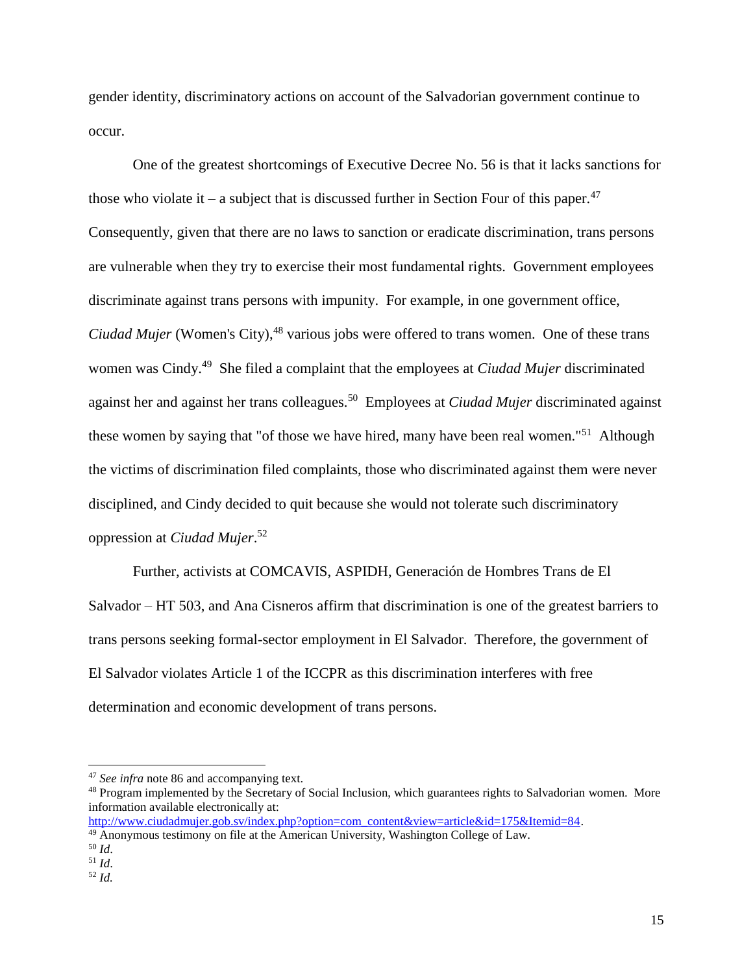gender identity, discriminatory actions on account of the Salvadorian government continue to occur.

One of the greatest shortcomings of Executive Decree No. 56 is that it lacks sanctions for those who violate it – a subject that is discussed further in Section Four of this paper.<sup>47</sup> Consequently, given that there are no laws to sanction or eradicate discrimination, trans persons are vulnerable when they try to exercise their most fundamental rights. Government employees discriminate against trans persons with impunity. For example, in one government office, *Ciudad Mujer* (Women's City),<sup>48</sup> various jobs were offered to trans women. One of these trans women was Cindy. <sup>49</sup> She filed a complaint that the employees at *Ciudad Mujer* discriminated against her and against her trans colleagues.<sup>50</sup> Employees at *Ciudad Mujer* discriminated against these women by saying that "of those we have hired, many have been real women."<sup>51</sup> Although the victims of discrimination filed complaints, those who discriminated against them were never disciplined, and Cindy decided to quit because she would not tolerate such discriminatory oppression at *Ciudad Mujer*. 52

Further, activists at COMCAVIS, ASPIDH, Generación de Hombres Trans de El Salvador – HT 503, and Ana Cisneros affirm that discrimination is one of the greatest barriers to trans persons seeking formal-sector employment in El Salvador. Therefore, the government of El Salvador violates Article 1 of the ICCPR as this discrimination interferes with free determination and economic development of trans persons.

 $\overline{a}$ 

<sup>47</sup> *See infra* note 86 and accompanying text.

<sup>&</sup>lt;sup>48</sup> Program implemented by the Secretary of Social Inclusion, which guarantees rights to Salvadorian women. More information available electronically at:

[http://www.ciudadmujer.gob.sv/index.php?option=com\\_content&view=article&id=175&Itemid=84.](http://www.ciudadmujer.gob.sv/index.php?option=com_content&view=article&id=175&Itemid=84)

<sup>&</sup>lt;sup>49</sup> Anonymous testimony on file at the American University, Washington College of Law.

<sup>50</sup> *Id*.

<sup>51</sup> *Id*.

<sup>52</sup> *Id.*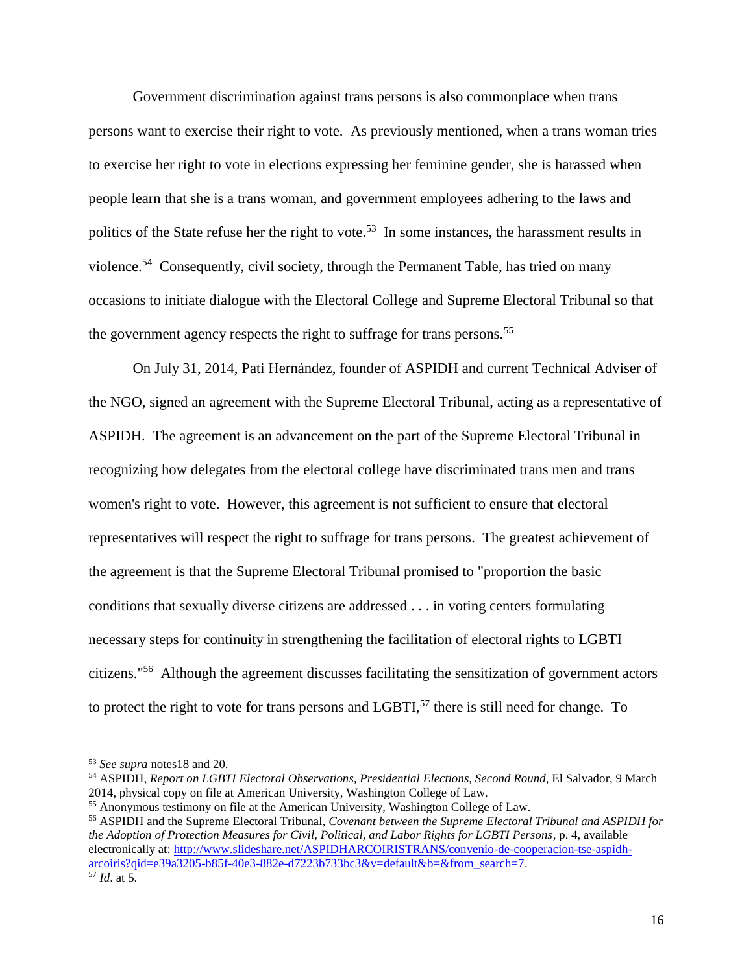Government discrimination against trans persons is also commonplace when trans persons want to exercise their right to vote. As previously mentioned, when a trans woman tries to exercise her right to vote in elections expressing her feminine gender, she is harassed when people learn that she is a trans woman, and government employees adhering to the laws and politics of the State refuse her the right to vote.<sup>53</sup> In some instances, the harassment results in violence.<sup>54</sup> Consequently, civil society, through the Permanent Table, has tried on many occasions to initiate dialogue with the Electoral College and Supreme Electoral Tribunal so that the government agency respects the right to suffrage for trans persons.<sup>55</sup>

On July 31, 2014, Pati Hernández, founder of ASPIDH and current Technical Adviser of the NGO, signed an agreement with the Supreme Electoral Tribunal, acting as a representative of ASPIDH. The agreement is an advancement on the part of the Supreme Electoral Tribunal in recognizing how delegates from the electoral college have discriminated trans men and trans women's right to vote. However, this agreement is not sufficient to ensure that electoral representatives will respect the right to suffrage for trans persons. The greatest achievement of the agreement is that the Supreme Electoral Tribunal promised to "proportion the basic conditions that sexually diverse citizens are addressed . . . in voting centers formulating necessary steps for continuity in strengthening the facilitation of electoral rights to LGBTI citizens."<sup>56</sup> Although the agreement discusses facilitating the sensitization of government actors to protect the right to vote for trans persons and  $LGBTI<sub>1</sub><sup>57</sup>$  there is still need for change. To

<sup>56</sup> ASPIDH and the Supreme Electoral Tribunal, *Covenant between the Supreme Electoral Tribunal and ASPIDH for the Adoption of Protection Measures for Civil, Political, and Labor Rights for LGBTI Persons*, p. 4, available electronically at: [http://www.slideshare.net/ASPIDHARCOIRISTRANS/convenio-de-cooperacion-tse-aspidh](http://www.slideshare.net/ASPIDHARCOIRISTRANS/convenio-de-cooperacion-tse-aspidh-arcoiris?qid=e39a3205-b85f-40e3-882e-d7223b733bc3&v=default&b=&from_search=7)[arcoiris?qid=e39a3205-b85f-40e3-882e-d7223b733bc3&v=default&b=&from\\_search=7.](http://www.slideshare.net/ASPIDHARCOIRISTRANS/convenio-de-cooperacion-tse-aspidh-arcoiris?qid=e39a3205-b85f-40e3-882e-d7223b733bc3&v=default&b=&from_search=7)

<sup>53</sup> *See supra* notes18 and 20.

<sup>54</sup> ASPIDH, *Report on LGBTI Electoral Observations, Presidential Elections, Second Round*, El Salvador, 9 March 2014, physical copy on file at American University, Washington College of Law.

<sup>55</sup> Anonymous testimony on file at the American University, Washington College of Law.

<sup>57</sup> *Id*. at 5.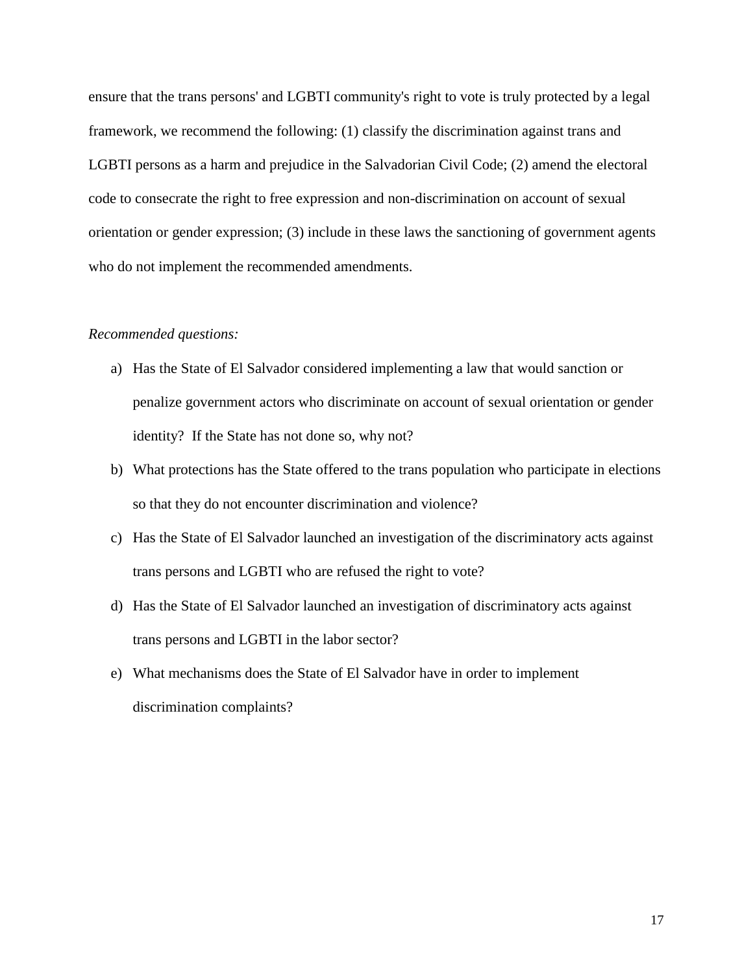ensure that the trans persons' and LGBTI community's right to vote is truly protected by a legal framework, we recommend the following: (1) classify the discrimination against trans and LGBTI persons as a harm and prejudice in the Salvadorian Civil Code; (2) amend the electoral code to consecrate the right to free expression and non-discrimination on account of sexual orientation or gender expression; (3) include in these laws the sanctioning of government agents who do not implement the recommended amendments.

#### *Recommended questions:*

- a) Has the State of El Salvador considered implementing a law that would sanction or penalize government actors who discriminate on account of sexual orientation or gender identity? If the State has not done so, why not?
- b) What protections has the State offered to the trans population who participate in elections so that they do not encounter discrimination and violence?
- c) Has the State of El Salvador launched an investigation of the discriminatory acts against trans persons and LGBTI who are refused the right to vote?
- d) Has the State of El Salvador launched an investigation of discriminatory acts against trans persons and LGBTI in the labor sector?
- e) What mechanisms does the State of El Salvador have in order to implement discrimination complaints?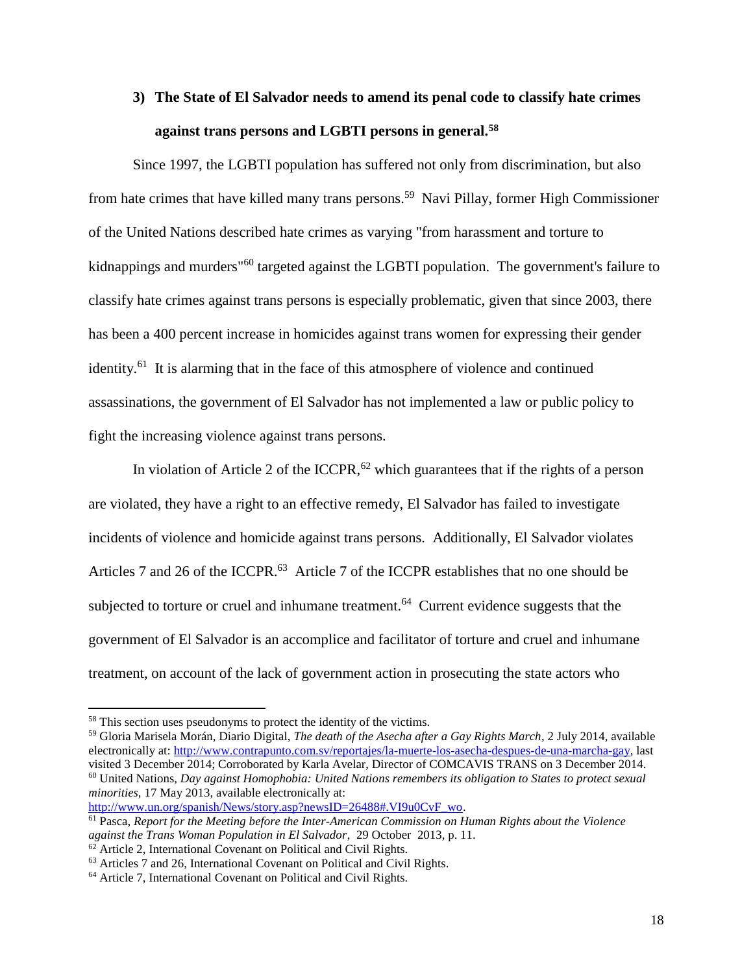# **3) The State of El Salvador needs to amend its penal code to classify hate crimes against trans persons and LGBTI persons in general.<sup>58</sup>**

Since 1997, the LGBTI population has suffered not only from discrimination, but also from hate crimes that have killed many trans persons.<sup>59</sup> Navi Pillay, former High Commissioner of the United Nations described hate crimes as varying "from harassment and torture to kidnappings and murders<sup>"60</sup> targeted against the LGBTI population. The government's failure to classify hate crimes against trans persons is especially problematic, given that since 2003, there has been a 400 percent increase in homicides against trans women for expressing their gender identity.<sup>61</sup> It is alarming that in the face of this atmosphere of violence and continued assassinations, the government of El Salvador has not implemented a law or public policy to fight the increasing violence against trans persons.

In violation of Article 2 of the ICCPR,  $62$  which guarantees that if the rights of a person are violated, they have a right to an effective remedy, El Salvador has failed to investigate incidents of violence and homicide against trans persons. Additionally, El Salvador violates Articles 7 and 26 of the ICCPR.<sup>63</sup> Article 7 of the ICCPR establishes that no one should be subjected to torture or cruel and inhumane treatment.<sup>64</sup> Current evidence suggests that the government of El Salvador is an accomplice and facilitator of torture and cruel and inhumane treatment, on account of the lack of government action in prosecuting the state actors who

 $\overline{a}$ 

[http://www.un.org/spanish/News/story.asp?newsID=26488#.VI9u0CvF\\_wo.](http://www.un.org/spanish/News/story.asp?newsID=26488#.VI9u0CvF_wo)

<sup>58</sup> This section uses pseudonyms to protect the identity of the victims.

<sup>59</sup> Gloria Marisela Morán, Diario Digital, *The death of the Asecha after a Gay Rights March*, 2 July 2014, available electronically at: [http://www.contrapunto.com.sv/reportajes/la-muerte-los-asecha-despues-de-una-marcha-gay,](http://www.contrapunto.com.sv/reportajes/la-muerte-los-asecha-despues-de-una-marcha-gay) last visited 3 December 2014; Corroborated by Karla Avelar, Director of COMCAVIS TRANS on 3 December 2014. <sup>60</sup> United Nations, *Day against Homophobia: United Nations remembers its obligation to States to protect sexual minorities*, 17 May 2013, available electronically at:

<sup>61</sup> Pasca, *Report for the Meeting before the Inter-American Commission on Human Rights about the Violence against the Trans Woman Population in El Salvador*, 29 October 2013, p. 11.

 $62$  Article 2, International Covenant on Political and Civil Rights.

<sup>63</sup> Articles 7 and 26, International Covenant on Political and Civil Rights.

<sup>64</sup> Article 7, International Covenant on Political and Civil Rights.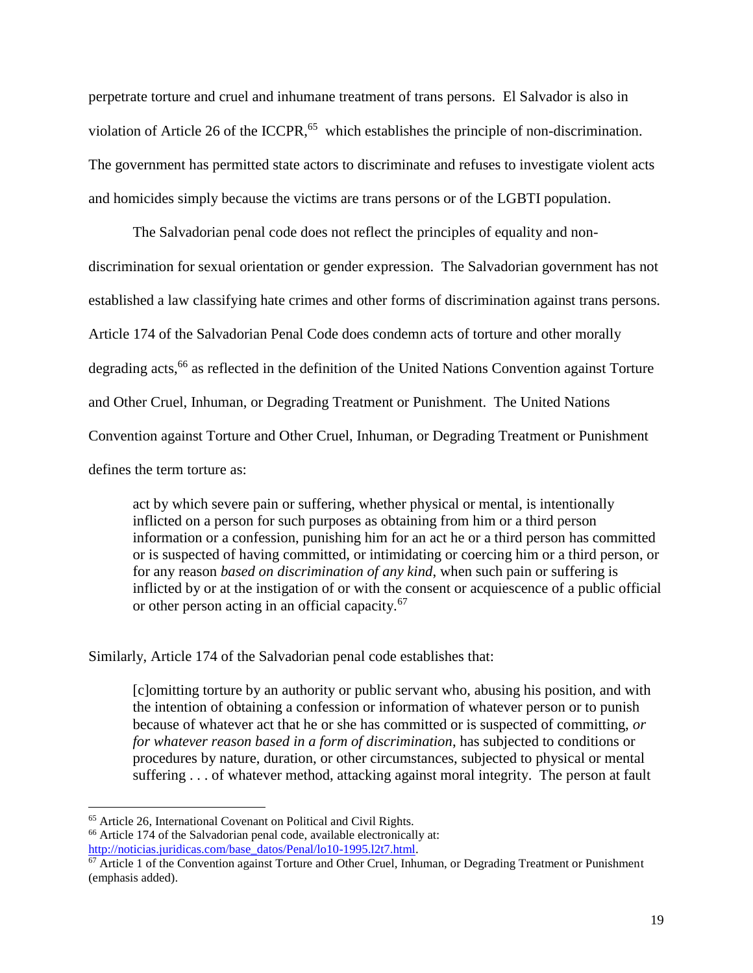perpetrate torture and cruel and inhumane treatment of trans persons. El Salvador is also in violation of Article 26 of the ICCPR,  $65$  which establishes the principle of non-discrimination. The government has permitted state actors to discriminate and refuses to investigate violent acts and homicides simply because the victims are trans persons or of the LGBTI population.

The Salvadorian penal code does not reflect the principles of equality and nondiscrimination for sexual orientation or gender expression. The Salvadorian government has not established a law classifying hate crimes and other forms of discrimination against trans persons. Article 174 of the Salvadorian Penal Code does condemn acts of torture and other morally degrading acts,<sup>66</sup> as reflected in the definition of the United Nations Convention against Torture and Other Cruel, Inhuman, or Degrading Treatment or Punishment. The United Nations Convention against Torture and Other Cruel, Inhuman, or Degrading Treatment or Punishment defines the term torture as:

act by which severe pain or suffering, whether physical or mental, is intentionally inflicted on a person for such purposes as obtaining from him or a third person information or a confession, punishing him for an act he or a third person has committed or is suspected of having committed, or intimidating or coercing him or a third person, or for any reason *based on discrimination of any kind*, when such pain or suffering is inflicted by or at the instigation of or with the consent or acquiescence of a public official or other person acting in an official capacity.<sup>67</sup>

Similarly, Article 174 of the Salvadorian penal code establishes that:

[c]omitting torture by an authority or public servant who, abusing his position, and with the intention of obtaining a confession or information of whatever person or to punish because of whatever act that he or she has committed or is suspected of committing, *or for whatever reason based in a form of discrimination*, has subjected to conditions or procedures by nature, duration, or other circumstances, subjected to physical or mental suffering . . . of whatever method, attacking against moral integrity. The person at fault

 $\overline{a}$ <sup>65</sup> Article 26, International Covenant on Political and Civil Rights.

<sup>66</sup> Article 174 of the Salvadorian penal code, available electronically at:

[http://noticias.juridicas.com/base\\_datos/Penal/lo10-1995.l2t7.html.](http://noticias.juridicas.com/base_datos/Penal/lo10-1995.l2t7.html)

 $\frac{67}{2}$  Article 1 of the Convention against Torture and Other Cruel, Inhuman, or Degrading Treatment or Punishment (emphasis added).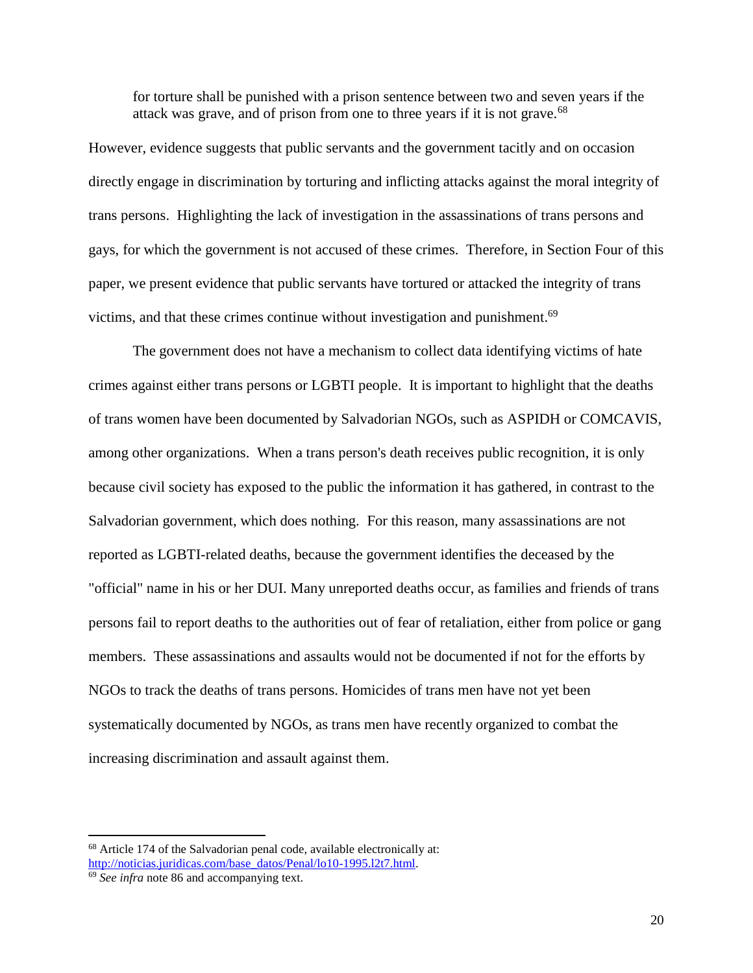for torture shall be punished with a prison sentence between two and seven years if the attack was grave, and of prison from one to three years if it is not grave.<sup>68</sup>

However, evidence suggests that public servants and the government tacitly and on occasion directly engage in discrimination by torturing and inflicting attacks against the moral integrity of trans persons. Highlighting the lack of investigation in the assassinations of trans persons and gays, for which the government is not accused of these crimes. Therefore, in Section Four of this paper, we present evidence that public servants have tortured or attacked the integrity of trans victims, and that these crimes continue without investigation and punishment.<sup>69</sup>

The government does not have a mechanism to collect data identifying victims of hate crimes against either trans persons or LGBTI people. It is important to highlight that the deaths of trans women have been documented by Salvadorian NGOs, such as ASPIDH or COMCAVIS, among other organizations. When a trans person's death receives public recognition, it is only because civil society has exposed to the public the information it has gathered, in contrast to the Salvadorian government, which does nothing. For this reason, many assassinations are not reported as LGBTI-related deaths, because the government identifies the deceased by the "official" name in his or her DUI. Many unreported deaths occur, as families and friends of trans persons fail to report deaths to the authorities out of fear of retaliation, either from police or gang members. These assassinations and assaults would not be documented if not for the efforts by NGOs to track the deaths of trans persons. Homicides of trans men have not yet been systematically documented by NGOs, as trans men have recently organized to combat the increasing discrimination and assault against them.

<sup>68</sup> Article 174 of the Salvadorian penal code, available electronically at: http://noticias.juridicas.com/base\_datos/Penal/lo10-1995.12t7.html.

<sup>69</sup> *See infra* note 86 and accompanying text.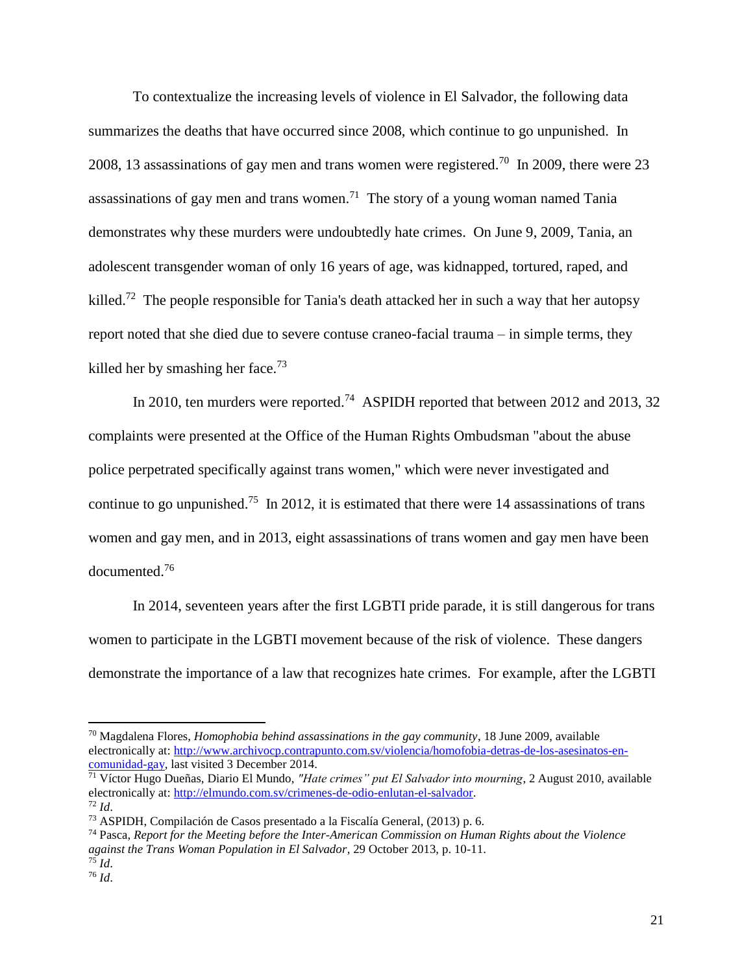To contextualize the increasing levels of violence in El Salvador, the following data summarizes the deaths that have occurred since 2008, which continue to go unpunished. In 2008, 13 assassinations of gay men and trans women were registered.<sup>70</sup> In 2009, there were 23 assassinations of gay men and trans women.<sup>71</sup> The story of a young woman named Tania demonstrates why these murders were undoubtedly hate crimes. On June 9, 2009, Tania, an adolescent transgender woman of only 16 years of age, was kidnapped, tortured, raped, and killed.<sup>72</sup> The people responsible for Tania's death attacked her in such a way that her autopsy report noted that she died due to severe contuse craneo-facial trauma – in simple terms, they killed her by smashing her face.<sup>73</sup>

In 2010, ten murders were reported.<sup>74</sup> ASPIDH reported that between 2012 and 2013, 32 complaints were presented at the Office of the Human Rights Ombudsman "about the abuse police perpetrated specifically against trans women," which were never investigated and continue to go unpunished.<sup>75</sup> In 2012, it is estimated that there were 14 assassinations of trans women and gay men, and in 2013, eight assassinations of trans women and gay men have been documented.<sup>76</sup>

In 2014, seventeen years after the first LGBTI pride parade, it is still dangerous for trans women to participate in the LGBTI movement because of the risk of violence. These dangers demonstrate the importance of a law that recognizes hate crimes. For example, after the LGBTI

 $\overline{a}$ 

<sup>70</sup> Magdalena Flores, *Homophobia behind assassinations in the gay community*, 18 June 2009, available electronically at: [http://www.archivocp.contrapunto.com.sv/violencia/homofobia-detras-de-los-asesinatos-en](http://www.archivocp.contrapunto.com.sv/violencia/homofobia-detras-de-los-asesinatos-en-comunidad-gay)[comunidad-gay,](http://www.archivocp.contrapunto.com.sv/violencia/homofobia-detras-de-los-asesinatos-en-comunidad-gay) last visited 3 December 2014.

<sup>71</sup> Víctor Hugo Dueñas, Diario El Mundo, *"Hate crimes" put El Salvador into mourning*, 2 August 2010, available electronically at: [http://elmundo.com.sv/crimenes-de-odio-enlutan-el-salvador.](http://elmundo.com.sv/crimenes-de-odio-enlutan-el-salvador) <sup>72</sup> *Id*.

<sup>73</sup> ASPIDH, Compilación de Casos presentado a la Fiscalía General, (2013) p. 6.

<sup>74</sup> Pasca, *Report for the Meeting before the Inter-American Commission on Human Rights about the Violence against the Trans Woman Population in El Salvador*, 29 October 2013, p. 10-11. <sup>75</sup> *Id*.

<sup>76</sup> *Id*.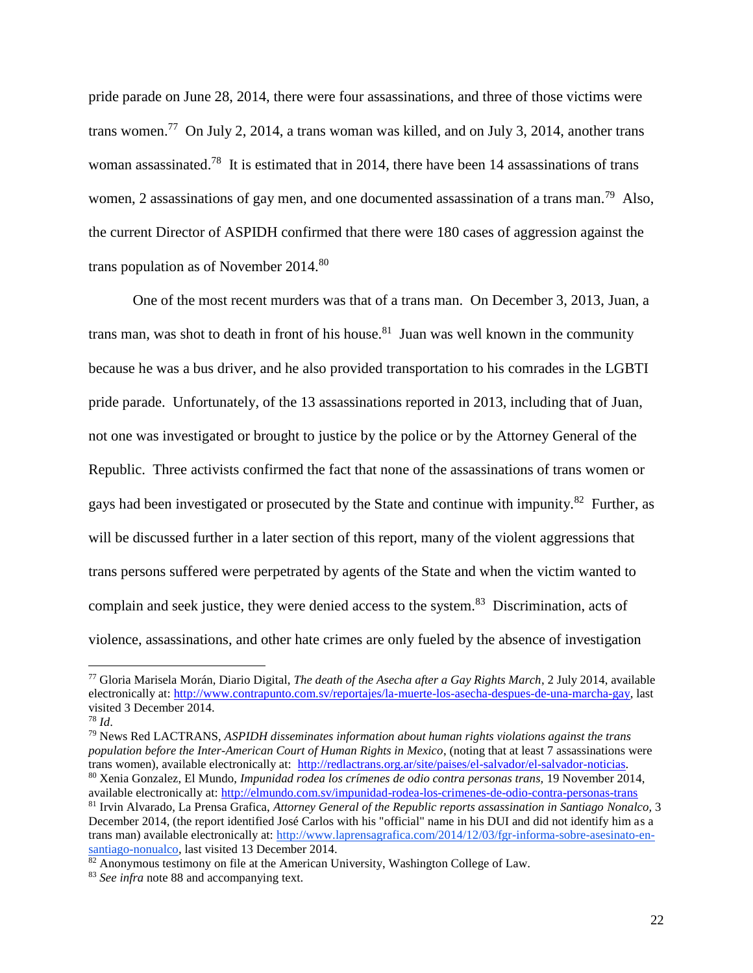pride parade on June 28, 2014, there were four assassinations, and three of those victims were trans women.<sup>77</sup> On July 2, 2014, a trans woman was killed, and on July 3, 2014, another trans woman assassinated.<sup>78</sup> It is estimated that in 2014, there have been 14 assassinations of trans women, 2 assassinations of gay men, and one documented assassination of a trans man.<sup>79</sup> Also, the current Director of ASPIDH confirmed that there were 180 cases of aggression against the trans population as of November 2014.<sup>80</sup>

One of the most recent murders was that of a trans man. On December 3, 2013, Juan, a trans man, was shot to death in front of his house.<sup>81</sup> Juan was well known in the community because he was a bus driver, and he also provided transportation to his comrades in the LGBTI pride parade. Unfortunately, of the 13 assassinations reported in 2013, including that of Juan, not one was investigated or brought to justice by the police or by the Attorney General of the Republic. Three activists confirmed the fact that none of the assassinations of trans women or gays had been investigated or prosecuted by the State and continue with impunity.<sup>82</sup> Further, as will be discussed further in a later section of this report, many of the violent aggressions that trans persons suffered were perpetrated by agents of the State and when the victim wanted to complain and seek justice, they were denied access to the system.<sup>83</sup> Discrimination, acts of violence, assassinations, and other hate crimes are only fueled by the absence of investigation

l

<sup>77</sup> Gloria Marisela Morán, Diario Digital, *The death of the Asecha after a Gay Rights March*, 2 July 2014, available electronically at: [http://www.contrapunto.com.sv/reportajes/la-muerte-los-asecha-despues-de-una-marcha-gay,](http://www.contrapunto.com.sv/reportajes/la-muerte-los-asecha-despues-de-una-marcha-gay) last visited 3 December 2014.

<sup>78</sup> *Id*.

<sup>79</sup> News Red LACTRANS, *ASPIDH disseminates information about human rights violations against the trans population before the Inter-American Court of Human Rights in Mexico*, (noting that at least 7 assassinations were trans women), available electronically at: [http://redlactrans.org.ar/site/paises/el-salvador/el-salvador-noticias.](http://redlactrans.org.ar/site/paises/el-salvador/el-salvador-noticias) <sup>80</sup> Xenia Gonzalez, El Mundo, *Impunidad rodea los crímenes de odio contra personas trans,* 19 November 2014,

available electronically at:<http://elmundo.com.sv/impunidad-rodea-los-crimenes-de-odio-contra-personas-trans> <sup>81</sup> Irvin Alvarado, La Prensa Grafica, *Attorney General of the Republic reports assassination in Santiago Nonalco,* 3 December 2014, (the report identified José Carlos with his "official" name in his DUI and did not identify him as a trans man) available electronically at: [http://www.laprensagrafica.com/2014/12/03/fgr-informa-sobre-asesinato-en](http://www.laprensagrafica.com/2014/12/03/fgr-informa-sobre-asesinato-en-santiago-nonualco)[santiago-nonualco,](http://www.laprensagrafica.com/2014/12/03/fgr-informa-sobre-asesinato-en-santiago-nonualco) last visited 13 December 2014.

 $82$  Anonymous testimony on file at the American University, Washington College of Law.

<sup>83</sup> *See infra* note 88 and accompanying text.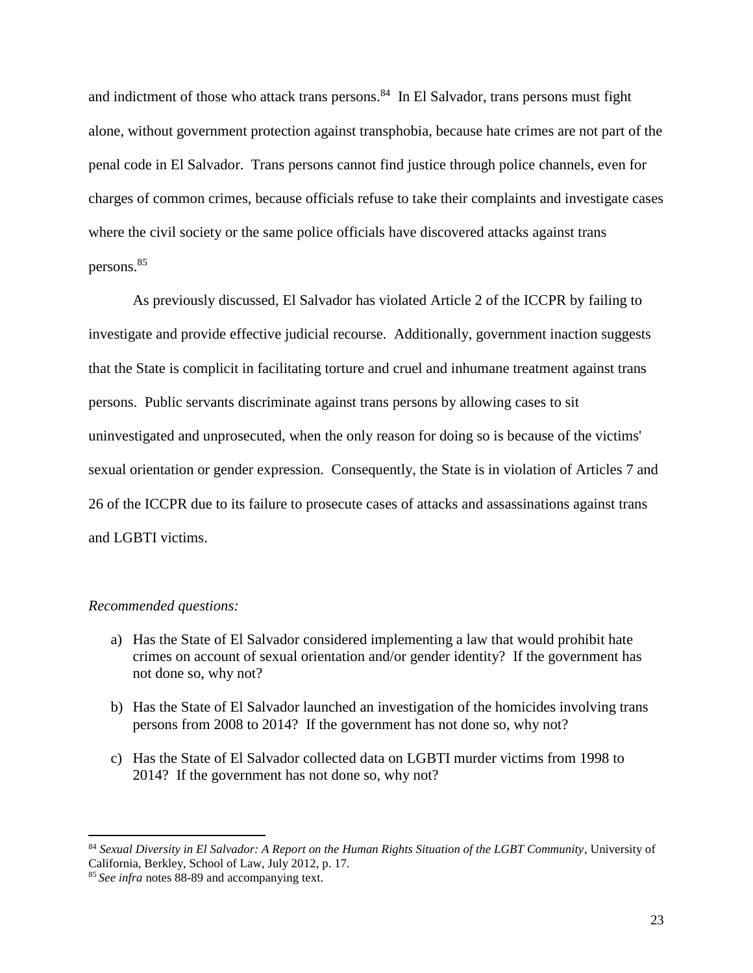and indictment of those who attack trans persons. 84 In El Salvador, trans persons must fight alone, without government protection against transphobia, because hate crimes are not part of the penal code in El Salvador. Trans persons cannot find justice through police channels, even for charges of common crimes, because officials refuse to take their complaints and investigate cases where the civil society or the same police officials have discovered attacks against trans persons.<sup>85</sup>

As previously discussed, El Salvador has violated Article 2 of the ICCPR by failing to investigate and provide effective judicial recourse. Additionally, government inaction suggests that the State is complicit in facilitating torture and cruel and inhumane treatment against trans persons. Public servants discriminate against trans persons by allowing cases to sit uninvestigated and unprosecuted, when the only reason for doing so is because of the victims' sexual orientation or gender expression. Consequently, the State is in violation of Articles 7 and 26 of the ICCPR due to its failure to prosecute cases of attacks and assassinations against trans and LGBTI victims.

## *Recommended questions:*

- a) Has the State of El Salvador considered implementing a law that would prohibit hate crimes on account of sexual orientation and/or gender identity? If the government has not done so, why not?
- b) Has the State of El Salvador launched an investigation of the homicides involving trans persons from 2008 to 2014? If the government has not done so, why not?
- c) Has the State of El Salvador collected data on LGBTI murder victims from 1998 to 2014? If the government has not done so, why not?

<sup>84</sup> *Sexual Diversity in El Salvador: A Report on the Human Rights Situation of the LGBT Community*, University of California, Berkley, School of Law, July 2012, p. 17.

<sup>85</sup> *See infra* notes 88-89 and accompanying text.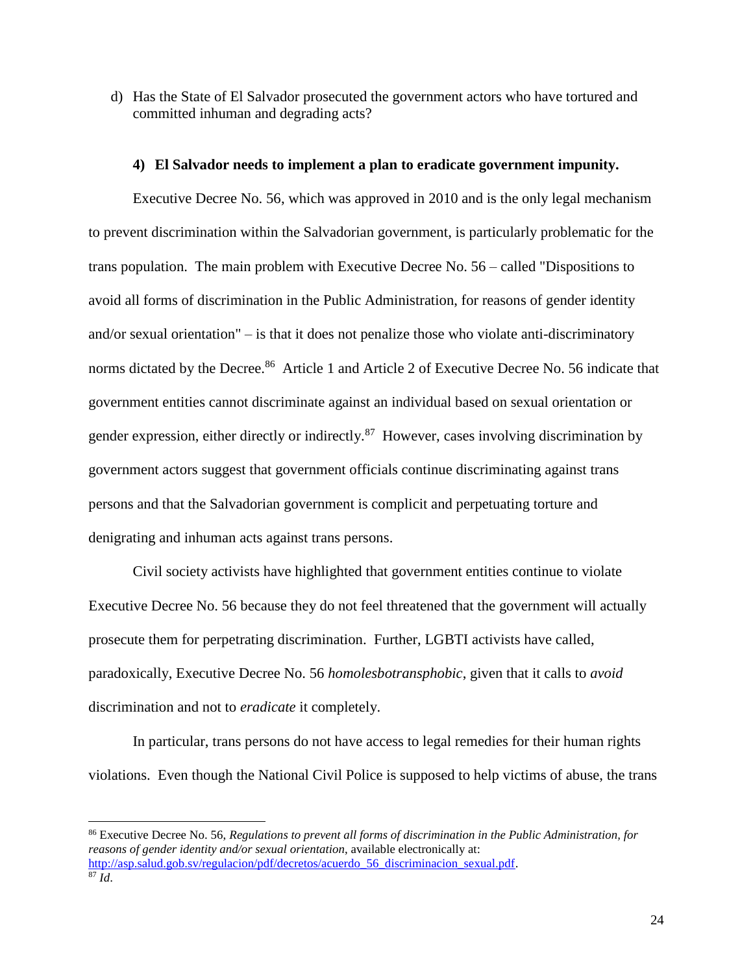d) Has the State of El Salvador prosecuted the government actors who have tortured and committed inhuman and degrading acts?

### **4) El Salvador needs to implement a plan to eradicate government impunity.**

Executive Decree No. 56, which was approved in 2010 and is the only legal mechanism to prevent discrimination within the Salvadorian government, is particularly problematic for the trans population. The main problem with Executive Decree No. 56 – called "Dispositions to avoid all forms of discrimination in the Public Administration, for reasons of gender identity and/or sexual orientation" – is that it does not penalize those who violate anti-discriminatory norms dictated by the Decree.<sup>86</sup> Article 1 and Article 2 of Executive Decree No. 56 indicate that government entities cannot discriminate against an individual based on sexual orientation or gender expression, either directly or indirectly.<sup>87</sup> However, cases involving discrimination by government actors suggest that government officials continue discriminating against trans persons and that the Salvadorian government is complicit and perpetuating torture and denigrating and inhuman acts against trans persons.

Civil society activists have highlighted that government entities continue to violate Executive Decree No. 56 because they do not feel threatened that the government will actually prosecute them for perpetrating discrimination. Further, LGBTI activists have called, paradoxically, Executive Decree No. 56 *homolesbotransphobic*, given that it calls to *avoid* discrimination and not to *eradicate* it completely.

In particular, trans persons do not have access to legal remedies for their human rights violations. Even though the National Civil Police is supposed to help victims of abuse, the trans

<sup>86</sup> Executive Decree No. 56, *Regulations to prevent all forms of discrimination in the Public Administration, for reasons of gender identity and/or sexual orientation*, available electronically at: [http://asp.salud.gob.sv/regulacion/pdf/decretos/acuerdo\\_56\\_discriminacion\\_sexual.pdf.](http://asp.salud.gob.sv/regulacion/pdf/decretos/acuerdo_56_discriminacion_sexual.pdf)  $87 \bar{Id}$ .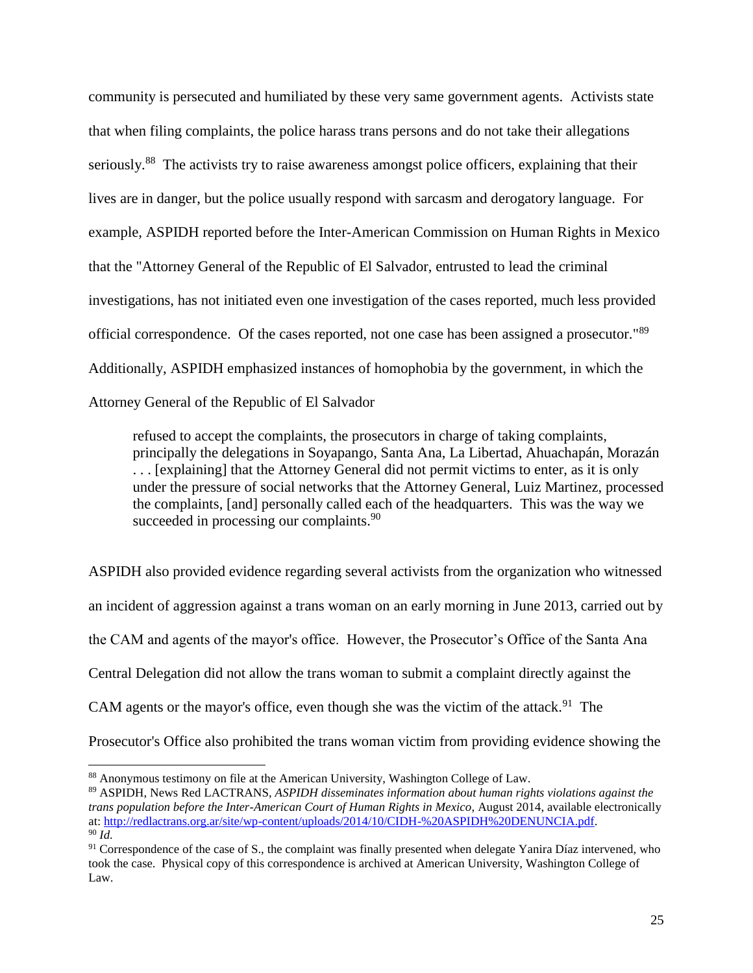community is persecuted and humiliated by these very same government agents. Activists state that when filing complaints, the police harass trans persons and do not take their allegations seriously.<sup>88</sup> The activists try to raise awareness amongst police officers, explaining that their lives are in danger, but the police usually respond with sarcasm and derogatory language. For example, ASPIDH reported before the Inter-American Commission on Human Rights in Mexico that the "Attorney General of the Republic of El Salvador, entrusted to lead the criminal investigations, has not initiated even one investigation of the cases reported, much less provided official correspondence. Of the cases reported, not one case has been assigned a prosecutor."<sup>89</sup> Additionally, ASPIDH emphasized instances of homophobia by the government, in which the Attorney General of the Republic of El Salvador

refused to accept the complaints, the prosecutors in charge of taking complaints, principally the delegations in Soyapango, Santa Ana, La Libertad, Ahuachapán, Morazán . . . [explaining] that the Attorney General did not permit victims to enter, as it is only under the pressure of social networks that the Attorney General, Luiz Martinez, processed the complaints, [and] personally called each of the headquarters. This was the way we succeeded in processing our complaints.<sup>90</sup>

ASPIDH also provided evidence regarding several activists from the organization who witnessed an incident of aggression against a trans woman on an early morning in June 2013, carried out by the CAM and agents of the mayor's office. However, the Prosecutor's Office of the Santa Ana Central Delegation did not allow the trans woman to submit a complaint directly against the CAM agents or the mayor's office, even though she was the victim of the attack.<sup>91</sup> The Prosecutor's Office also prohibited the trans woman victim from providing evidence showing the

 $\overline{a}$ 

<sup>88</sup> Anonymous testimony on file at the American University, Washington College of Law.

<sup>89</sup> ASPIDH, News Red LACTRANS, *ASPIDH disseminates information about human rights violations against the trans population before the Inter-American Court of Human Rights in Mexico*, August 2014, available electronically at: [http://redlactrans.org.ar/site/wp-content/uploads/2014/10/CIDH-%20ASPIDH%20DENUNCIA.pdf.](http://redlactrans.org.ar/site/wp-content/uploads/2014/10/CIDH-%20ASPIDH%20DENUNCIA.pdf) <sup>90</sup> *Id.*

<sup>&</sup>lt;sup>91</sup> Correspondence of the case of S., the complaint was finally presented when delegate Yanira Díaz intervened, who took the case. Physical copy of this correspondence is archived at American University, Washington College of Law.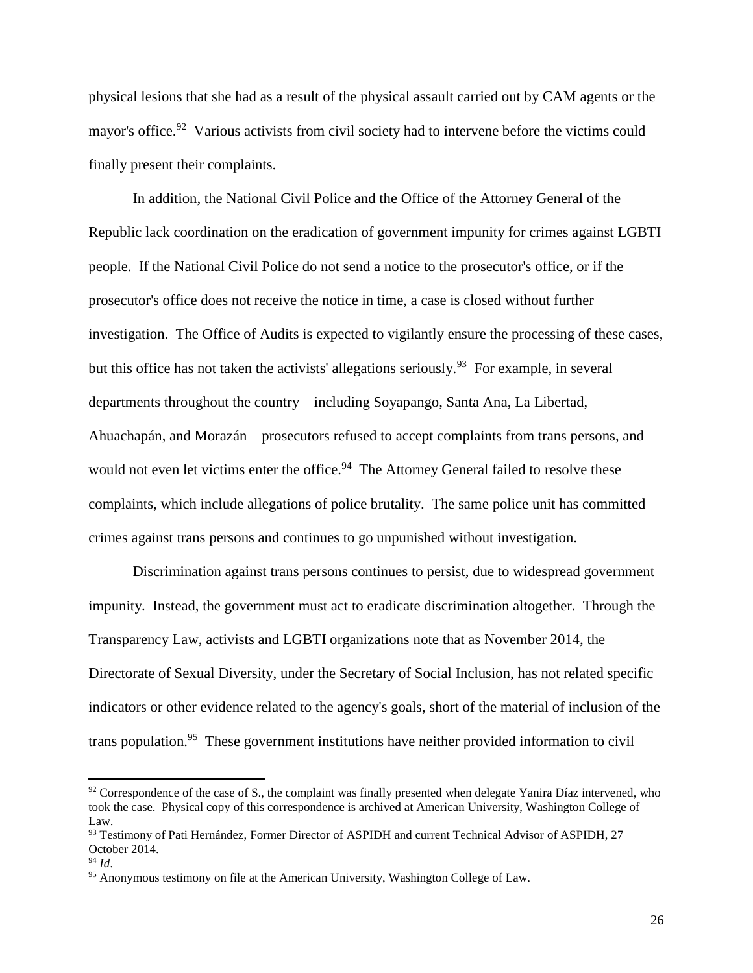physical lesions that she had as a result of the physical assault carried out by CAM agents or the mayor's office.<sup>92</sup> Various activists from civil society had to intervene before the victims could finally present their complaints.

In addition, the National Civil Police and the Office of the Attorney General of the Republic lack coordination on the eradication of government impunity for crimes against LGBTI people. If the National Civil Police do not send a notice to the prosecutor's office, or if the prosecutor's office does not receive the notice in time, a case is closed without further investigation. The Office of Audits is expected to vigilantly ensure the processing of these cases, but this office has not taken the activists' allegations seriously.<sup>93</sup> For example, in several departments throughout the country – including Soyapango, Santa Ana, La Libertad, Ahuachapán, and Morazán – prosecutors refused to accept complaints from trans persons, and would not even let victims enter the office.<sup>94</sup> The Attorney General failed to resolve these complaints, which include allegations of police brutality. The same police unit has committed crimes against trans persons and continues to go unpunished without investigation.

Discrimination against trans persons continues to persist, due to widespread government impunity. Instead, the government must act to eradicate discrimination altogether. Through the Transparency Law, activists and LGBTI organizations note that as November 2014, the Directorate of Sexual Diversity, under the Secretary of Social Inclusion, has not related specific indicators or other evidence related to the agency's goals, short of the material of inclusion of the trans population.<sup>95</sup> These government institutions have neither provided information to civil

 $92$  Correspondence of the case of S., the complaint was finally presented when delegate Yanira Díaz intervened, who took the case. Physical copy of this correspondence is archived at American University, Washington College of Law.

<sup>93</sup> Testimony of Pati Hernández, Former Director of ASPIDH and current Technical Advisor of ASPIDH, 27 October 2014.

<sup>94</sup> *Id*.

<sup>&</sup>lt;sup>95</sup> Anonymous testimony on file at the American University, Washington College of Law.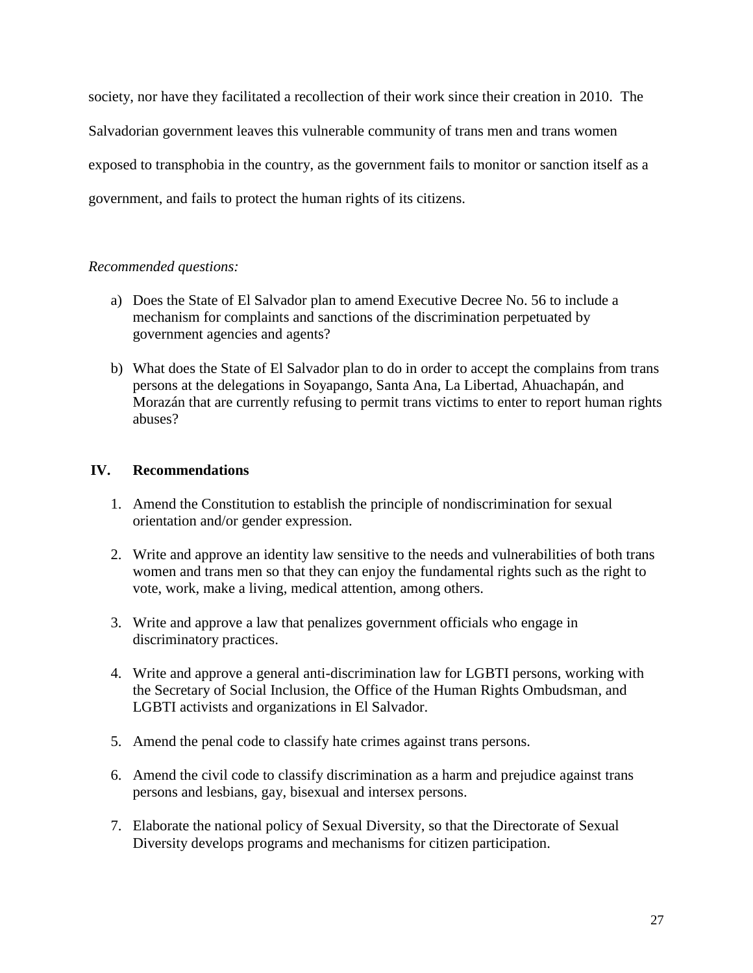society, nor have they facilitated a recollection of their work since their creation in 2010. The Salvadorian government leaves this vulnerable community of trans men and trans women exposed to transphobia in the country, as the government fails to monitor or sanction itself as a government, and fails to protect the human rights of its citizens.

# *Recommended questions:*

- a) Does the State of El Salvador plan to amend Executive Decree No. 56 to include a mechanism for complaints and sanctions of the discrimination perpetuated by government agencies and agents?
- b) What does the State of El Salvador plan to do in order to accept the complains from trans persons at the delegations in Soyapango, Santa Ana, La Libertad, Ahuachapán, and Morazán that are currently refusing to permit trans victims to enter to report human rights abuses?

# **IV. Recommendations**

- 1. Amend the Constitution to establish the principle of nondiscrimination for sexual orientation and/or gender expression.
- 2. Write and approve an identity law sensitive to the needs and vulnerabilities of both trans women and trans men so that they can enjoy the fundamental rights such as the right to vote, work, make a living, medical attention, among others.
- 3. Write and approve a law that penalizes government officials who engage in discriminatory practices.
- 4. Write and approve a general anti-discrimination law for LGBTI persons, working with the Secretary of Social Inclusion, the Office of the Human Rights Ombudsman, and LGBTI activists and organizations in El Salvador.
- 5. Amend the penal code to classify hate crimes against trans persons.
- 6. Amend the civil code to classify discrimination as a harm and prejudice against trans persons and lesbians, gay, bisexual and intersex persons.
- 7. Elaborate the national policy of Sexual Diversity, so that the Directorate of Sexual Diversity develops programs and mechanisms for citizen participation.